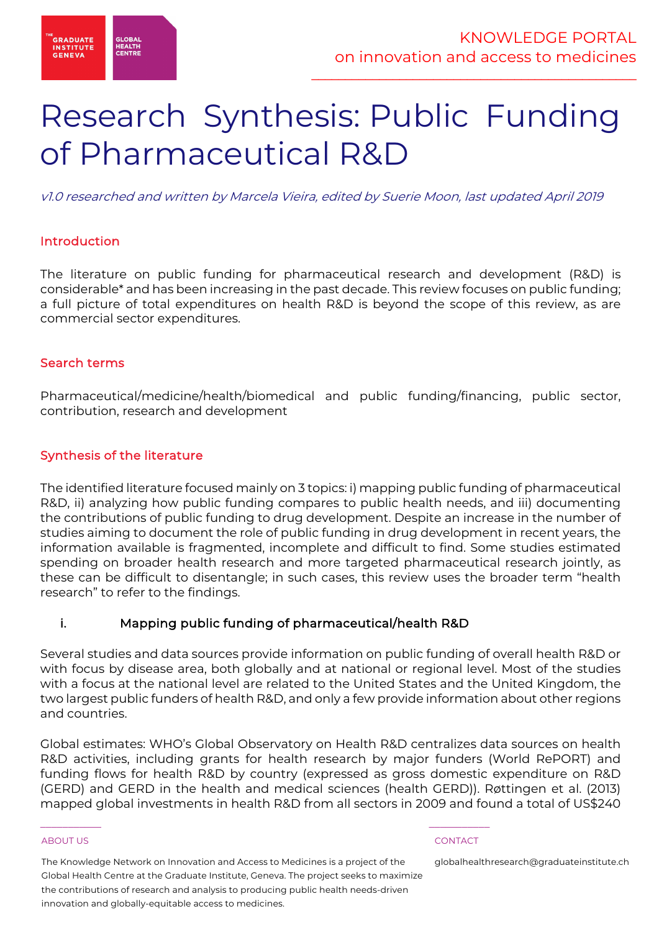

# Research Synthesis: Public Funding of Pharmaceutical R&D

v1.0 researched and written by Marcela Vieira, edited by Suerie Moon, last updated April 2019

# Introduction

The literature on public funding for pharmaceutical research and development (R&D) is considerable\* and has been increasing in the past decade. This review focuses on public funding; a full picture of total expenditures on health R&D is beyond the scope of this review, as are commercial sector expenditures.

# Search terms

Pharmaceutical/medicine/health/biomedical and public funding/financing, public sector, contribution, research and development

# Synthesis of the literature

The identified literature focused mainly on 3 topics: i) mapping public funding of pharmaceutical R&D, ii) analyzing how public funding compares to public health needs, and iii) documenting the contributions of public funding to drug development. Despite an increase in the number of studies aiming to document the role of public funding in drug development in recent years, the information available is fragmented, incomplete and difficult to find. Some studies estimated spending on broader health research and more targeted pharmaceutical research jointly, as these can be difficult to disentangle; in such cases, this review uses the broader term "health research" to refer to the findings.

# i. Mapping public funding of pharmaceutical/health R&D

 $\frac{1}{2}$  , and the set of the set of the set of the set of the set of the set of the set of the set of the set of the set of the set of the set of the set of the set of the set of the set of the set of the set of the set

Several studies and data sources provide information on public funding of overall health R&D or with focus by disease area, both globally and at national or regional level. Most of the studies with a focus at the national level are related to the United States and the United Kingdom, the two largest public funders of health R&D, and only a few provide information about other regions and countries.

Global estimates: WHO's Global Observatory on Health R&D centralizes data sources on health R&D activities, including grants for health research by major funders (World RePORT) and funding flows for health R&D by country (expressed as gross domestic expenditure on R&D (GERD) and GERD in the health and medical sciences (health GERD)). Røttingen et al. (2013) mapped global investments in health R&D from all sectors in 2009 and found a total of US\$240

### ABOUT US CONTACT AND RESERVE THE RELEASE OF THE RELEASE OF THE RELEASE OF THE RELEASE OF THE RELEASE OF THE RELEASE OF THE RELEASE OF THE RELEASE OF THE RELEASE OF THE RELEASE OF THE RELEASE OF THE RELEASE OF THE RELEASE O

The Knowledge Network on Innovation and Access to Medicines is a project of the Global Health Centre at the Graduate Institute, Geneva. The project seeks to maximize the contributions of research and analysis to producing public health needs-driven innovation and globally-equitable access to medicines.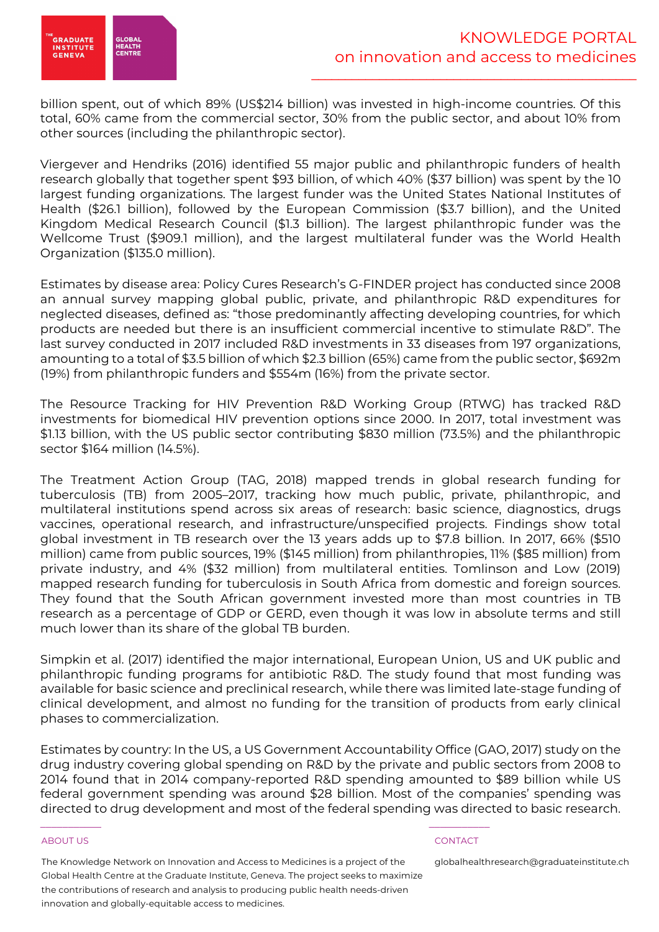

billion spent, out of which 89% (US\$214 billion) was invested in high-income countries. Of this total, 60% came from the commercial sector, 30% from the public sector, and about 10% from other sources (including the philanthropic sector).

Viergever and Hendriks (2016) identified 55 major public and philanthropic funders of health research globally that together spent \$93 billion, of which 40% (\$37 billion) was spent by the 10 largest funding organizations. The largest funder was the United States National Institutes of Health (\$26.1 billion), followed by the European Commission (\$3.7 billion), and the United Kingdom Medical Research Council (\$1.3 billion). The largest philanthropic funder was the Wellcome Trust (\$909.1 million), and the largest multilateral funder was the World Health Organization (\$135.0 million).

Estimates by disease area: Policy Cures Research's G-FINDER project has conducted since 2008 an annual survey mapping global public, private, and philanthropic R&D expenditures for neglected diseases, defined as: "those predominantly affecting developing countries, for which products are needed but there is an insufficient commercial incentive to stimulate R&D". The last survey conducted in 2017 included R&D investments in 33 diseases from 197 organizations, amounting to a total of \$3.5 billion of which \$2.3 billion (65%) came from the public sector, \$692m (19%) from philanthropic funders and \$554m (16%) from the private sector.

The Resource Tracking for HIV Prevention R&D Working Group (RTWG) has tracked R&D investments for biomedical HIV prevention options since 2000. In 2017, total investment was \$1.13 billion, with the US public sector contributing \$830 million (73.5%) and the philanthropic sector \$164 million (14.5%).

The Treatment Action Group (TAG, 2018) mapped trends in global research funding for tuberculosis (TB) from 2005–2017, tracking how much public, private, philanthropic, and multilateral institutions spend across six areas of research: basic science, diagnostics, drugs vaccines, operational research, and infrastructure/unspecified projects. Findings show total global investment in TB research over the 13 years adds up to \$7.8 billion. In 2017, 66% (\$510 million) came from public sources, 19% (\$145 million) from philanthropies, 11% (\$85 million) from private industry, and 4% (\$32 million) from multilateral entities. Tomlinson and Low (2019) mapped research funding for tuberculosis in South Africa from domestic and foreign sources. They found that the South African government invested more than most countries in TB research as a percentage of GDP or GERD, even though it was low in absolute terms and still much lower than its share of the global TB burden.

Simpkin et al. (2017) identified the major international, European Union, US and UK public and philanthropic funding programs for antibiotic R&D. The study found that most funding was available for basic science and preclinical research, while there was limited late-stage funding of clinical development, and almost no funding for the transition of products from early clinical phases to commercialization.

Estimates by country: In the US, a US Government Accountability Office (GAO, 2017) study on the drug industry covering global spending on R&D by the private and public sectors from 2008 to 2014 found that in 2014 company-reported R&D spending amounted to \$89 billion while US federal government spending was around \$28 billion. Most of the companies' spending was directed to drug development and most of the federal spending was directed to basic research.

# ABOUT US CONTACT AND RESERVE THE RELEASE OF THE RELEASE OF THE RELEASE OF THE RELEASE OF THE RELEASE OF THE RELEASE OF THE RELEASE OF THE RELEASE OF THE RELEASE OF THE RELEASE OF THE RELEASE OF THE RELEASE OF THE RELEASE O

The Knowledge Network on Innovation and Access to Medicines is a project of the Global Health Centre at the Graduate Institute, Geneva. The project seeks to maximize the contributions of research and analysis to producing public health needs-driven innovation and globally-equitable access to medicines.

 $\frac{1}{2}$  , and the set of the set of the set of the set of the set of the set of the set of the set of the set of the set of the set of the set of the set of the set of the set of the set of the set of the set of the set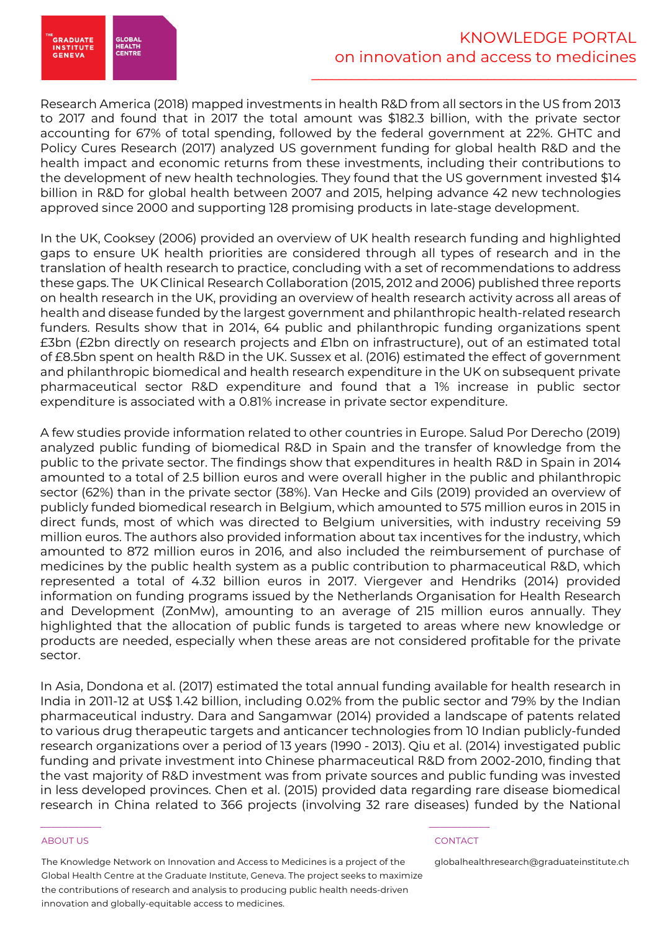

.<br>GRADUATE<br>INSTITUTE **SLOBA HEALTH**<br>CENTR GENEVA

Research America (2018) mapped investments in health R&D from all sectors in the US from 2013 to 2017 and found that in 2017 the total amount was \$182.3 billion, with the private sector accounting for 67% of total spending, followed by the federal government at 22%. GHTC and Policy Cures Research (2017) analyzed US government funding for global health R&D and the health impact and economic returns from these investments, including their contributions to the development of new health technologies. They found that the US government invested \$14 billion in R&D for global health between 2007 and 2015, helping advance 42 new technologies approved since 2000 and supporting 128 promising products in late-stage development.

In the UK, Cooksey (2006) provided an overview of UK health research funding and highlighted gaps to ensure UK health priorities are considered through all types of research and in the translation of health research to practice, concluding with a set of recommendations to address these gaps. The UK Clinical Research Collaboration (2015, 2012 and 2006) published three reports on health research in the UK, providing an overview of health research activity across all areas of health and disease funded by the largest government and philanthropic health-related research funders. Results show that in 2014, 64 public and philanthropic funding organizations spent £3bn (£2bn directly on research projects and £1bn on infrastructure), out of an estimated total of £8.5bn spent on health R&D in the UK. Sussex et al. (2016) estimated the effect of government and philanthropic biomedical and health research expenditure in the UK on subsequent private pharmaceutical sector R&D expenditure and found that a 1% increase in public sector expenditure is associated with a 0.81% increase in private sector expenditure.

A few studies provide information related to other countries in Europe. Salud Por Derecho (2019) analyzed public funding of biomedical R&D in Spain and the transfer of knowledge from the public to the private sector. The findings show that expenditures in health R&D in Spain in 2014 amounted to a total of 2.5 billion euros and were overall higher in the public and philanthropic sector (62%) than in the private sector (38%). Van Hecke and Gils (2019) provided an overview of publicly funded biomedical research in Belgium, which amounted to 575 million euros in 2015 in direct funds, most of which was directed to Belgium universities, with industry receiving 59 million euros. The authors also provided information about tax incentives for the industry, which amounted to 872 million euros in 2016, and also included the reimbursement of purchase of medicines by the public health system as a public contribution to pharmaceutical R&D, which represented a total of 4.32 billion euros in 2017. Viergever and Hendriks (2014) provided information on funding programs issued by the Netherlands Organisation for Health Research and Development (ZonMw), amounting to an average of 215 million euros annually. They highlighted that the allocation of public funds is targeted to areas where new knowledge or products are needed, especially when these areas are not considered profitable for the private sector.

In Asia, Dondona et al. (2017) estimated the total annual funding available for health research in India in 2011-12 at US\$ 1.42 billion, including 0.02% from the public sector and 79% by the Indian pharmaceutical industry. Dara and Sangamwar (2014) provided a landscape of patents related to various drug therapeutic targets and anticancer technologies from 10 Indian publicly-funded research organizations over a period of 13 years (1990 - 2013). Qiu et al. (2014) investigated public funding and private investment into Chinese pharmaceutical R&D from 2002-2010, finding that the vast majority of R&D investment was from private sources and public funding was invested in less developed provinces. Chen et al. (2015) provided data regarding rare disease biomedical research in China related to 366 projects (involving 32 rare diseases) funded by the National

# ABOUT US CONTACT AND RESERVE THE RELEASE OF THE RELEASE OF THE RELEASE OF THE RELEASE OF THE RELEASE OF THE RELEASE OF THE RELEASE OF THE RELEASE OF THE RELEASE OF THE RELEASE OF THE RELEASE OF THE RELEASE OF THE RELEASE O

The Knowledge Network on Innovation and Access to Medicines is a project of the Global Health Centre at the Graduate Institute, Geneva. The project seeks to maximize the contributions of research and analysis to producing public health needs-driven innovation and globally-equitable access to medicines.

 $\frac{1}{2}$  , and the set of the set of the set of the set of the set of the set of the set of the set of the set of the set of the set of the set of the set of the set of the set of the set of the set of the set of the set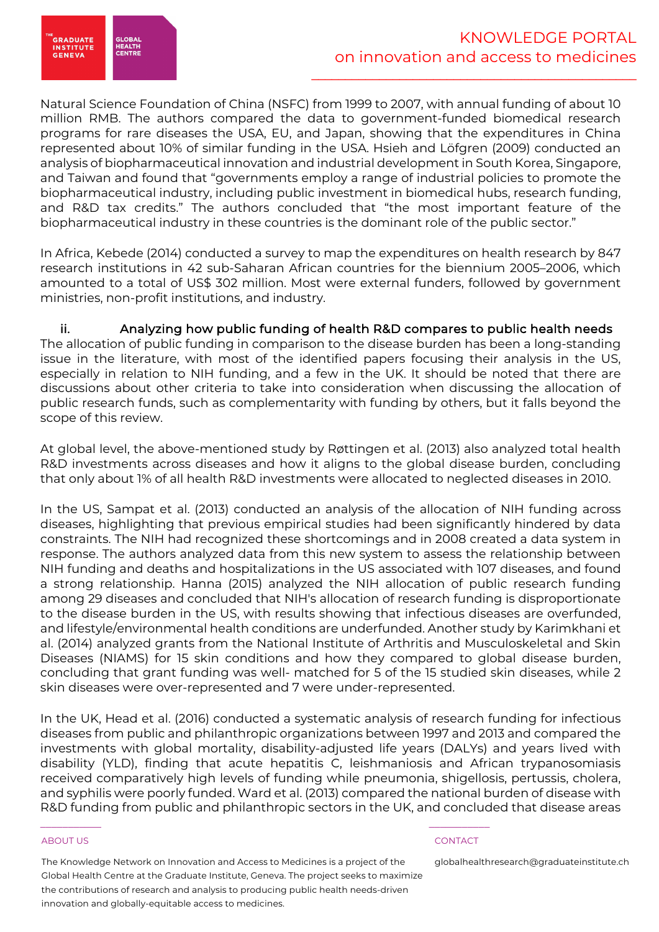

Natural Science Foundation of China (NSFC) from 1999 to 2007, with annual funding of about 10 million RMB. The authors compared the data to government-funded biomedical research programs for rare diseases the USA, EU, and Japan, showing that the expenditures in China represented about 10% of similar funding in the USA. Hsieh and Löfgren (2009) conducted an analysis of biopharmaceutical innovation and industrial development in South Korea, Singapore, and Taiwan and found that "governments employ a range of industrial policies to promote the biopharmaceutical industry, including public investment in biomedical hubs, research funding, and R&D tax credits." The authors concluded that "the most important feature of the biopharmaceutical industry in these countries is the dominant role of the public sector."

In Africa, Kebede (2014) conducted a survey to map the expenditures on health research by 847 research institutions in 42 sub-Saharan African countries for the biennium 2005–2006, which amounted to a total of US\$ 302 million. Most were external funders, followed by government ministries, non-profit institutions, and industry.

ii. Analyzing how public funding of health R&D compares to public health needs The allocation of public funding in comparison to the disease burden has been a long-standing issue in the literature, with most of the identified papers focusing their analysis in the US, especially in relation to NIH funding, and a few in the UK. It should be noted that there are discussions about other criteria to take into consideration when discussing the allocation of public research funds, such as complementarity with funding by others, but it falls beyond the scope of this review.

At global level, the above-mentioned study by Røttingen et al. (2013) also analyzed total health R&D investments across diseases and how it aligns to the global disease burden, concluding that only about 1% of all health R&D investments were allocated to neglected diseases in 2010.

In the US, Sampat et al. (2013) conducted an analysis of the allocation of NIH funding across diseases, highlighting that previous empirical studies had been significantly hindered by data constraints. The NIH had recognized these shortcomings and in 2008 created a data system in response. The authors analyzed data from this new system to assess the relationship between NIH funding and deaths and hospitalizations in the US associated with 107 diseases, and found a strong relationship. Hanna (2015) analyzed the NIH allocation of public research funding among 29 diseases and concluded that NIH's allocation of research funding is disproportionate to the disease burden in the US, with results showing that infectious diseases are overfunded, and lifestyle/environmental health conditions are underfunded. Another study by Karimkhani et al. (2014) analyzed grants from the National Institute of Arthritis and Musculoskeletal and Skin Diseases (NIAMS) for 15 skin conditions and how they compared to global disease burden, concluding that grant funding was well- matched for 5 of the 15 studied skin diseases, while 2 skin diseases were over-represented and 7 were under-represented.

In the UK, Head et al. (2016) conducted a systematic analysis of research funding for infectious diseases from public and philanthropic organizations between 1997 and 2013 and compared the investments with global mortality, disability-adjusted life years (DALYs) and years lived with disability (YLD), finding that acute hepatitis C, leishmaniosis and African trypanosomiasis received comparatively high levels of funding while pneumonia, shigellosis, pertussis, cholera, and syphilis were poorly funded. Ward et al. (2013) compared the national burden of disease with R&D funding from public and philanthropic sectors in the UK, and concluded that disease areas

# ABOUT US CONTACT AND RESERVE THE RELEASE OF THE RELEASE OF THE RELEASE OF THE RELEASE OF THE RELEASE OF THE RELEASE OF THE RELEASE OF THE RELEASE OF THE RELEASE OF THE RELEASE OF THE RELEASE OF THE RELEASE OF THE RELEASE O

The Knowledge Network on Innovation and Access to Medicines is a project of the Global Health Centre at the Graduate Institute, Geneva. The project seeks to maximize the contributions of research and analysis to producing public health needs-driven innovation and globally-equitable access to medicines.

 $\frac{1}{2}$  , and the set of the set of the set of the set of the set of the set of the set of the set of the set of the set of the set of the set of the set of the set of the set of the set of the set of the set of the set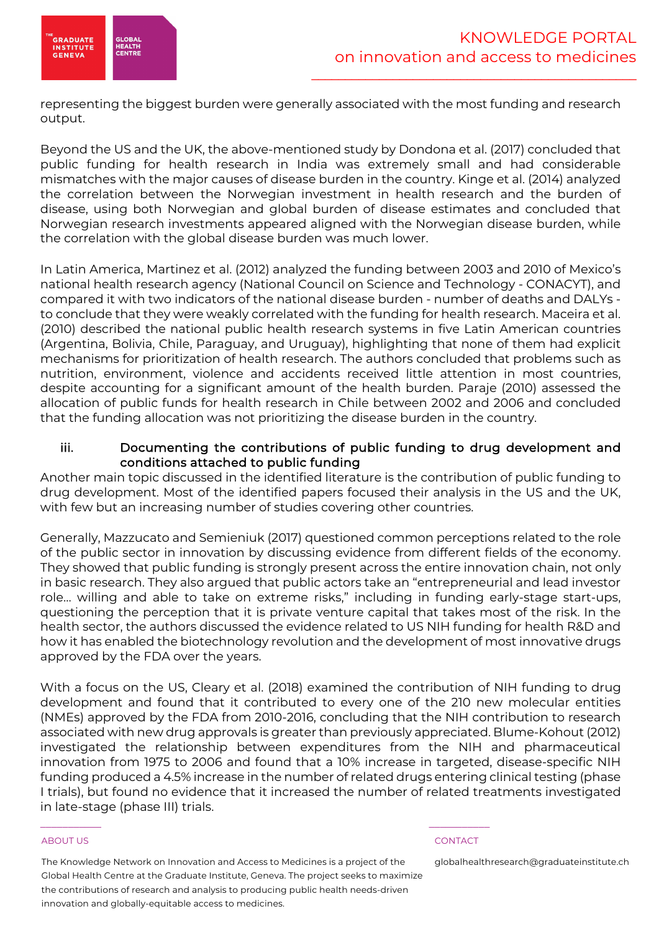

representing the biggest burden were generally associated with the most funding and research output.

Beyond the US and the UK, the above-mentioned study by Dondona et al. (2017) concluded that public funding for health research in India was extremely small and had considerable mismatches with the major causes of disease burden in the country. Kinge et al. (2014) analyzed the correlation between the Norwegian investment in health research and the burden of disease, using both Norwegian and global burden of disease estimates and concluded that Norwegian research investments appeared aligned with the Norwegian disease burden, while the correlation with the global disease burden was much lower.

In Latin America, Martinez et al. (2012) analyzed the funding between 2003 and 2010 of Mexico's national health research agency (National Council on Science and Technology - CONACYT), and compared it with two indicators of the national disease burden - number of deaths and DALYs to conclude that they were weakly correlated with the funding for health research. Maceira et al. (2010) described the national public health research systems in five Latin American countries (Argentina, Bolivia, Chile, Paraguay, and Uruguay), highlighting that none of them had explicit mechanisms for prioritization of health research. The authors concluded that problems such as nutrition, environment, violence and accidents received little attention in most countries, despite accounting for a significant amount of the health burden. Paraje (2010) assessed the allocation of public funds for health research in Chile between 2002 and 2006 and concluded that the funding allocation was not prioritizing the disease burden in the country.

# iii. Documenting the contributions of public funding to drug development and conditions attached to public funding

Another main topic discussed in the identified literature is the contribution of public funding to drug development. Most of the identified papers focused their analysis in the US and the UK, with few but an increasing number of studies covering other countries.

Generally, Mazzucato and Semieniuk (2017) questioned common perceptions related to the role of the public sector in innovation by discussing evidence from different fields of the economy. They showed that public funding is strongly present across the entire innovation chain, not only in basic research. They also argued that public actors take an "entrepreneurial and lead investor role… willing and able to take on extreme risks," including in funding early-stage start-ups, questioning the perception that it is private venture capital that takes most of the risk. In the health sector, the authors discussed the evidence related to US NIH funding for health R&D and how it has enabled the biotechnology revolution and the development of most innovative drugs approved by the FDA over the years.

With a focus on the US, Cleary et al. (2018) examined the contribution of NIH funding to drug development and found that it contributed to every one of the 210 new molecular entities (NMEs) approved by the FDA from 2010-2016, concluding that the NIH contribution to research associated with new drug approvals is greater than previously appreciated. Blume-Kohout (2012) investigated the relationship between expenditures from the NIH and pharmaceutical innovation from 1975 to 2006 and found that a 10% increase in targeted, disease-specific NIH funding produced a 4.5% increase in the number of related drugs entering clinical testing (phase I trials), but found no evidence that it increased the number of related treatments investigated in late-stage (phase III) trials.

# ABOUT US CONTACT AND RESERVE THE RELEASE OF THE RELEASE OF THE RELEASE OF THE RELEASE OF THE RELEASE OF THE RELEASE OF THE RELEASE OF THE RELEASE OF THE RELEASE OF THE RELEASE OF THE RELEASE OF THE RELEASE OF THE RELEASE O

The Knowledge Network on Innovation and Access to Medicines is a project of the Global Health Centre at the Graduate Institute, Geneva. The project seeks to maximize the contributions of research and analysis to producing public health needs-driven innovation and globally-equitable access to medicines.

 $\frac{1}{2}$  , and the set of the set of the set of the set of the set of the set of the set of the set of the set of the set of the set of the set of the set of the set of the set of the set of the set of the set of the set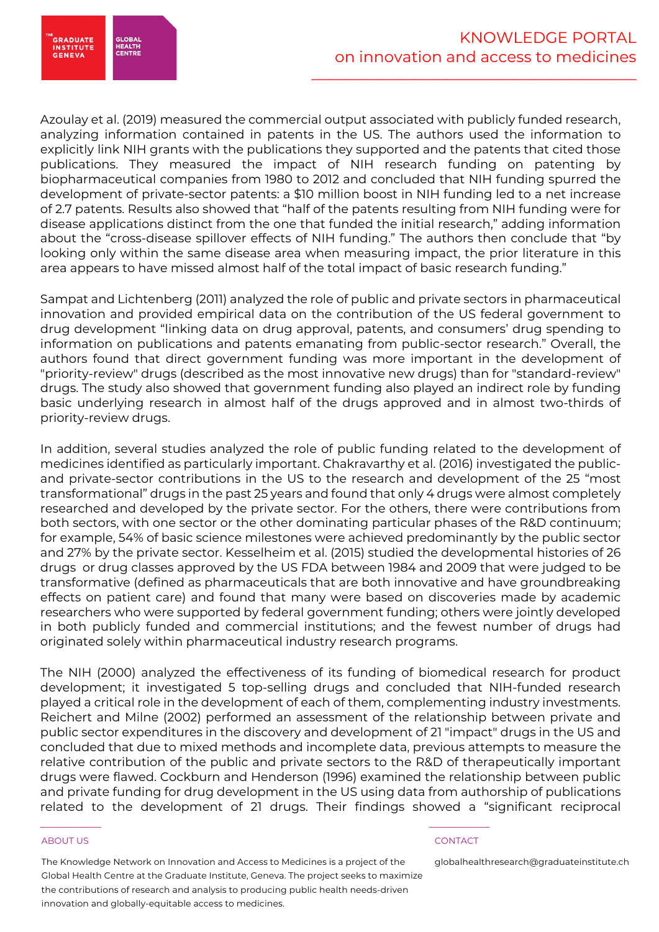

Azoulay et al. (2019) measured the commercial output associated with publicly funded research, analyzing information contained in patents in the US. The authors used the information to explicitly link NIH grants with the publications they supported and the patents that cited those publications. They measured the impact of NIH research funding on patenting by biopharmaceutical companies from 1980 to 2012 and concluded that NIH funding spurred the development of private-sector patents: a \$10 million boost in NIH funding led to a net increase of 2.7 patents. Results also showed that "half of the patents resulting from NIH funding were for disease applications distinct from the one that funded the initial research," adding information about the "cross-disease spillover effects of NIH funding." The authors then conclude that "by looking only within the same disease area when measuring impact, the prior literature in this area appears to have missed almost half of the total impact of basic research funding."

Sampat and Lichtenberg (2011) analyzed the role of public and private sectors in pharmaceutical innovation and provided empirical data on the contribution of the US federal government to drug development "linking data on drug approval, patents, and consumers' drug spending to information on publications and patents emanating from public-sector research." Overall, the authors found that direct government funding was more important in the development of "priority-review" drugs (described as the most innovative new drugs) than for "standard-review" drugs. The study also showed that government funding also played an indirect role by funding basic underlying research in almost half of the drugs approved and in almost two-thirds of priority-review drugs.

In addition, several studies analyzed the role of public funding related to the development of medicines identified as particularly important. Chakravarthy et al. (2016) investigated the publicand private-sector contributions in the US to the research and development of the 25 "most transformational" drugs in the past 25 years and found that only 4 drugs were almost completely researched and developed by the private sector. For the others, there were contributions from both sectors, with one sector or the other dominating particular phases of the R&D continuum; for example, 54% of basic science milestones were achieved predominantly by the public sector and 27% by the private sector. Kesselheim et al. (2015) studied the developmental histories of 26 drugs or drug classes approved by the US FDA between 1984 and 2009 that were judged to be transformative (defined as pharmaceuticals that are both innovative and have groundbreaking effects on patient care) and found that many were based on discoveries made by academic researchers who were supported by federal government funding; others were jointly developed in both publicly funded and commercial institutions; and the fewest number of drugs had originated solely within pharmaceutical industry research programs.

The NIH (2000) analyzed the effectiveness of its funding of biomedical research for product development; it investigated 5 top-selling drugs and concluded that NIH-funded research played a critical role in the development of each of them, complementing industry investments. Reichert and Milne (2002) performed an assessment of the relationship between private and public sector expenditures in the discovery and development of 21 "impact" drugs in the US and concluded that due to mixed methods and incomplete data, previous attempts to measure the relative contribution of the public and private sectors to the R&D of therapeutically important drugs were flawed. Cockburn and Henderson (1996) examined the relationship between public and private funding for drug development in the US using data from authorship of publications related to the development of 21 drugs. Their findings showed a "significant reciprocal

### ABOUT US CONTACT AND RESERVE THE RELEASE OF THE RELEASE OF THE RELEASE OF THE RELEASE OF THE RELEASE OF THE RELEASE OF THE RELEASE OF THE RELEASE OF THE RELEASE OF THE RELEASE OF THE RELEASE OF THE RELEASE OF THE RELEASE O

The Knowledge Network on Innovation and Access to Medicines is a project of the Global Health Centre at the Graduate Institute, Geneva. The project seeks to maximize the contributions of research and analysis to producing public health needs-driven innovation and globally-equitable access to medicines.

 $\frac{1}{2}$  , and the set of the set of the set of the set of the set of the set of the set of the set of the set of the set of the set of the set of the set of the set of the set of the set of the set of the set of the set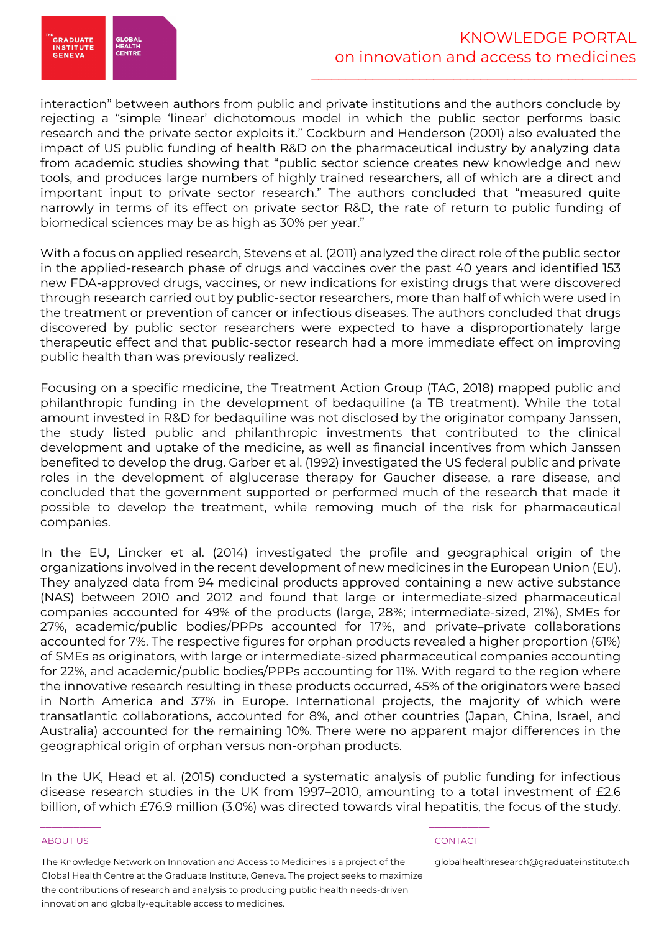

interaction" between authors from public and private institutions and the authors conclude by rejecting a "simple 'linear' dichotomous model in which the public sector performs basic research and the private sector exploits it." Cockburn and Henderson (2001) also evaluated the impact of US public funding of health R&D on the pharmaceutical industry by analyzing data from academic studies showing that "public sector science creates new knowledge and new tools, and produces large numbers of highly trained researchers, all of which are a direct and important input to private sector research." The authors concluded that "measured quite narrowly in terms of its effect on private sector R&D, the rate of return to public funding of biomedical sciences may be as high as 30% per year."

With a focus on applied research, Stevens et al. (2011) analyzed the direct role of the public sector in the applied-research phase of drugs and vaccines over the past 40 years and identified 153 new FDA-approved drugs, vaccines, or new indications for existing drugs that were discovered through research carried out by public-sector researchers, more than half of which were used in the treatment or prevention of cancer or infectious diseases. The authors concluded that drugs discovered by public sector researchers were expected to have a disproportionately large therapeutic effect and that public-sector research had a more immediate effect on improving public health than was previously realized.

Focusing on a specific medicine, the Treatment Action Group (TAG, 2018) mapped public and philanthropic funding in the development of bedaquiline (a TB treatment). While the total amount invested in R&D for bedaquiline was not disclosed by the originator company Janssen, the study listed public and philanthropic investments that contributed to the clinical development and uptake of the medicine, as well as financial incentives from which Janssen benefited to develop the drug. Garber et al. (1992) investigated the US federal public and private roles in the development of alglucerase therapy for Gaucher disease, a rare disease, and concluded that the government supported or performed much of the research that made it possible to develop the treatment, while removing much of the risk for pharmaceutical companies.

In the EU, Lincker et al. (2014) investigated the profile and geographical origin of the organizations involved in the recent development of new medicines in the European Union (EU). They analyzed data from 94 medicinal products approved containing a new active substance (NAS) between 2010 and 2012 and found that large or intermediate-sized pharmaceutical companies accounted for 49% of the products (large, 28%; intermediate-sized, 21%), SMEs for 27%, academic/public bodies/PPPs accounted for 17%, and private–private collaborations accounted for 7%. The respective figures for orphan products revealed a higher proportion (61%) of SMEs as originators, with large or intermediate-sized pharmaceutical companies accounting for 22%, and academic/public bodies/PPPs accounting for 11%. With regard to the region where the innovative research resulting in these products occurred, 45% of the originators were based in North America and 37% in Europe. International projects, the majority of which were transatlantic collaborations, accounted for 8%, and other countries (Japan, China, Israel, and Australia) accounted for the remaining 10%. There were no apparent major differences in the geographical origin of orphan versus non-orphan products.

In the UK, Head et al. (2015) conducted a systematic analysis of public funding for infectious disease research studies in the UK from 1997–2010, amounting to a total investment of £2.6 billion, of which £76.9 million (3.0%) was directed towards viral hepatitis, the focus of the study.

### ABOUT US CONTACT AND RESERVE THE RELEASE OF THE RELEASE OF THE RELEASE OF THE RELEASE OF THE RELEASE OF THE RELEASE OF THE RELEASE OF THE RELEASE OF THE RELEASE OF THE RELEASE OF THE RELEASE OF THE RELEASE OF THE RELEASE O

The Knowledge Network on Innovation and Access to Medicines is a project of the Global Health Centre at the Graduate Institute, Geneva. The project seeks to maximize the contributions of research and analysis to producing public health needs-driven innovation and globally-equitable access to medicines.

 $\frac{1}{2}$  , and the set of the set of the set of the set of the set of the set of the set of the set of the set of the set of the set of the set of the set of the set of the set of the set of the set of the set of the set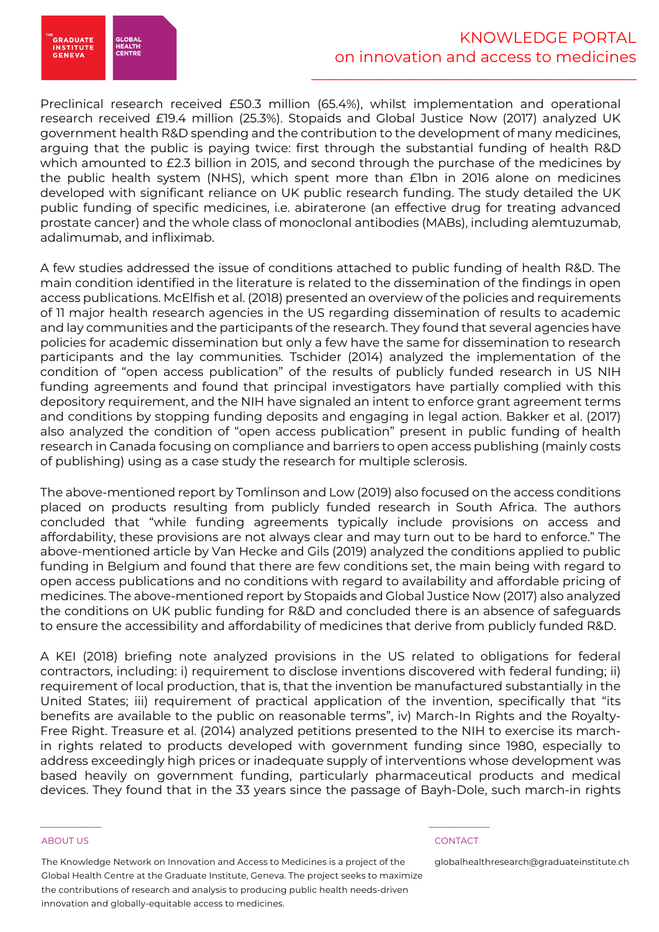

# KNOWLEDGE PORTAL on innovation and access to medicines

\_\_\_\_\_\_\_\_\_\_\_\_\_\_\_\_\_\_\_\_\_\_\_\_\_\_\_\_\_\_\_\_\_\_\_\_\_\_\_\_\_\_\_\_\_\_\_\_

Preclinical research received £50.3 million (65.4%), whilst implementation and operational research received £19.4 million (25.3%). Stopaids and Global Justice Now (2017) analyzed UK government health R&D spending and the contribution to the development of many medicines, arguing that the public is paying twice: first through the substantial funding of health R&D which amounted to £2.3 billion in 2015, and second through the purchase of the medicines by the public health system (NHS), which spent more than £1bn in 2016 alone on medicines developed with significant reliance on UK public research funding. The study detailed the UK public funding of specific medicines, i.e. abiraterone (an effective drug for treating advanced prostate cancer) and the whole class of monoclonal antibodies (MABs), including alemtuzumab, adalimumab, and infliximab.

A few studies addressed the issue of conditions attached to public funding of health R&D. The main condition identified in the literature is related to the dissemination of the findings in open access publications. McElfish et al. (2018) presented an overview of the policies and requirements of 11 major health research agencies in the US regarding dissemination of results to academic and lay communities and the participants of the research. They found that several agencies have policies for academic dissemination but only a few have the same for dissemination to research participants and the lay communities. Tschider (2014) analyzed the implementation of the condition of "open access publication" of the results of publicly funded research in US NIH funding agreements and found that principal investigators have partially complied with this depository requirement, and the NIH have signaled an intent to enforce grant agreement terms and conditions by stopping funding deposits and engaging in legal action. Bakker et al. (2017) also analyzed the condition of "open access publication" present in public funding of health research in Canada focusing on compliance and barriers to open access publishing (mainly costs of publishing) using as a case study the research for multiple sclerosis.

The above-mentioned report by Tomlinson and Low (2019) also focused on the access conditions placed on products resulting from publicly funded research in South Africa. The authors concluded that "while funding agreements typically include provisions on access and affordability, these provisions are not always clear and may turn out to be hard to enforce." The above-mentioned article by Van Hecke and Gils (2019) analyzed the conditions applied to public funding in Belgium and found that there are few conditions set, the main being with regard to open access publications and no conditions with regard to availability and affordable pricing of medicines. The above-mentioned report by Stopaids and Global Justice Now (2017) also analyzed the conditions on UK public funding for R&D and concluded there is an absence of safeguards to ensure the accessibility and affordability of medicines that derive from publicly funded R&D.

A KEI (2018) briefing note analyzed provisions in the US related to obligations for federal contractors, including: i) requirement to disclose inventions discovered with federal funding; ii) requirement of local production, that is, that the invention be manufactured substantially in the United States; iii) requirement of practical application of the invention, specifically that "its benefits are available to the public on reasonable terms", iv) March-In Rights and the Royalty-Free Right. Treasure et al. (2014) analyzed petitions presented to the NIH to exercise its marchin rights related to products developed with government funding since 1980, especially to address exceedingly high prices or inadequate supply of interventions whose development was based heavily on government funding, particularly pharmaceutical products and medical devices. They found that in the 33 years since the passage of Bayh-Dole, such march-in rights

# ABOUT US CONTACT AND RESERVE THE RELEASE OF THE RELEASE OF THE RELEASE OF THE RELEASE OF THE RELEASE OF THE RELEASE OF THE RELEASE OF THE RELEASE OF THE RELEASE OF THE RELEASE OF THE RELEASE OF THE RELEASE OF THE RELEASE O

The Knowledge Network on Innovation and Access to Medicines is a project of the Global Health Centre at the Graduate Institute, Geneva. The project seeks to maximize the contributions of research and analysis to producing public health needs-driven innovation and globally-equitable access to medicines.

 $\frac{1}{2}$  , and the set of the set of the set of the set of the set of the set of the set of the set of the set of the set of the set of the set of the set of the set of the set of the set of the set of the set of the set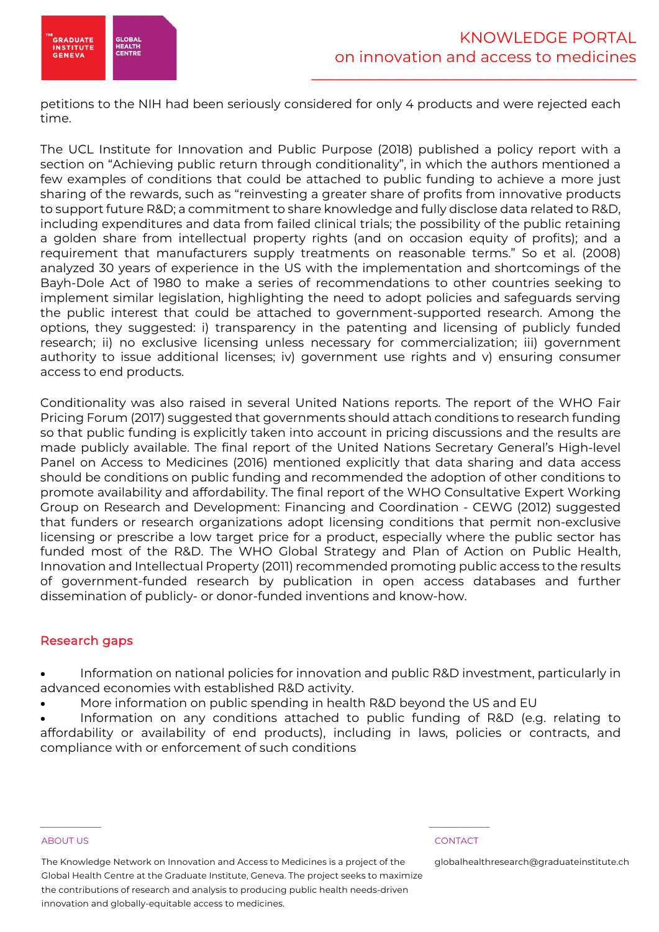

petitions to the NIH had been seriously considered for only 4 products and were rejected each time.

The UCL Institute for Innovation and Public Purpose (2018) published a policy report with a section on "Achieving public return through conditionality", in which the authors mentioned a few examples of conditions that could be attached to public funding to achieve a more just sharing of the rewards, such as "reinvesting a greater share of profits from innovative products to support future R&D; a commitment to share knowledge and fully disclose data related to R&D, including expenditures and data from failed clinical trials; the possibility of the public retaining a golden share from intellectual property rights (and on occasion equity of profits); and a requirement that manufacturers supply treatments on reasonable terms." So et al. (2008) analyzed 30 years of experience in the US with the implementation and shortcomings of the Bayh-Dole Act of 1980 to make a series of recommendations to other countries seeking to implement similar legislation, highlighting the need to adopt policies and safeguards serving the public interest that could be attached to government-supported research. Among the options, they suggested: i) transparency in the patenting and licensing of publicly funded research; ii) no exclusive licensing unless necessary for commercialization; iii) government authority to issue additional licenses; iv) government use rights and v) ensuring consumer access to end products.

Conditionality was also raised in several United Nations reports. The report of the WHO Fair Pricing Forum (2017) suggested that governments should attach conditions to research funding so that public funding is explicitly taken into account in pricing discussions and the results are made publicly available. The final report of the United Nations Secretary General's High-level Panel on Access to Medicines (2016) mentioned explicitly that data sharing and data access should be conditions on public funding and recommended the adoption of other conditions to promote availability and affordability. The final report of the WHO Consultative Expert Working Group on Research and Development: Financing and Coordination - CEWG (2012) suggested that funders or research organizations adopt licensing conditions that permit non-exclusive licensing or prescribe a low target price for a product, especially where the public sector has funded most of the R&D. The WHO Global Strategy and Plan of Action on Public Health, Innovation and Intellectual Property (2011) recommended promoting public access to the results of government-funded research by publication in open access databases and further dissemination of publicly- or donor-funded inventions and know-how.

# Research gaps

- Information on national policies for innovation and public R&D investment, particularly in advanced economies with established R&D activity.
- More information on public spending in health R&D beyond the US and EU

Information on any conditions attached to public funding of R&D (e.g. relating to affordability or availability of end products), including in laws, policies or contracts, and compliance with or enforcement of such conditions

# ABOUT US CONTACT AND A RESERVE AND LODGED AT A RESERVE AND LODGED AT A RESERVE AND LODGED AT A RESERVE AND LODGED AT A RESERVE AND LODGED AT A RESERVE AND LODGED AT A RESERVE AND LODGED AT A RESERVE AND LODGED AT A RESERVE

The Knowledge Network on Innovation and Access to Medicines is a project of the Global Health Centre at the Graduate Institute, Geneva. The project seeks to maximize the contributions of research and analysis to producing public health needs-driven innovation and globally-equitable access to medicines.

 $\frac{1}{2}$  , and the set of the set of the set of the set of the set of the set of the set of the set of the set of the set of the set of the set of the set of the set of the set of the set of the set of the set of the set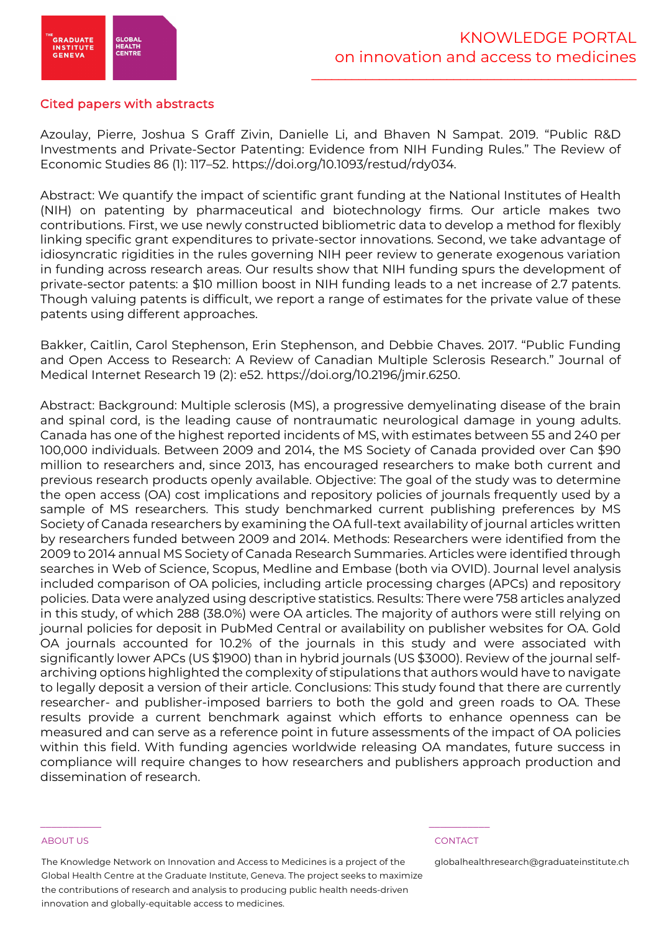

# Cited papers with abstracts

Azoulay, Pierre, Joshua S Graff Zivin, Danielle Li, and Bhaven N Sampat. 2019. "Public R&D Investments and Private-Sector Patenting: Evidence from NIH Funding Rules." The Review of Economic Studies 86 (1): 117–52. https://doi.org/10.1093/restud/rdy034.

Abstract: We quantify the impact of scientific grant funding at the National Institutes of Health (NIH) on patenting by pharmaceutical and biotechnology firms. Our article makes two contributions. First, we use newly constructed bibliometric data to develop a method for flexibly linking specific grant expenditures to private-sector innovations. Second, we take advantage of idiosyncratic rigidities in the rules governing NIH peer review to generate exogenous variation in funding across research areas. Our results show that NIH funding spurs the development of private-sector patents: a \$10 million boost in NIH funding leads to a net increase of 2.7 patents. Though valuing patents is difficult, we report a range of estimates for the private value of these patents using different approaches.

Bakker, Caitlin, Carol Stephenson, Erin Stephenson, and Debbie Chaves. 2017. "Public Funding and Open Access to Research: A Review of Canadian Multiple Sclerosis Research." Journal of Medical Internet Research 19 (2): e52. https://doi.org/10.2196/jmir.6250.

Abstract: Background: Multiple sclerosis (MS), a progressive demyelinating disease of the brain and spinal cord, is the leading cause of nontraumatic neurological damage in young adults. Canada has one of the highest reported incidents of MS, with estimates between 55 and 240 per 100,000 individuals. Between 2009 and 2014, the MS Society of Canada provided over Can \$90 million to researchers and, since 2013, has encouraged researchers to make both current and previous research products openly available. Objective: The goal of the study was to determine the open access (OA) cost implications and repository policies of journals frequently used by a sample of MS researchers. This study benchmarked current publishing preferences by MS Society of Canada researchers by examining the OA full-text availability of journal articles written by researchers funded between 2009 and 2014. Methods: Researchers were identified from the 2009 to 2014 annual MS Society of Canada Research Summaries. Articles were identified through searches in Web of Science, Scopus, Medline and Embase (both via OVID). Journal level analysis included comparison of OA policies, including article processing charges (APCs) and repository policies. Data were analyzed using descriptive statistics. Results: There were 758 articles analyzed in this study, of which 288 (38.0%) were OA articles. The majority of authors were still relying on journal policies for deposit in PubMed Central or availability on publisher websites for OA. Gold OA journals accounted for 10.2% of the journals in this study and were associated with significantly lower APCs (US \$1900) than in hybrid journals (US \$3000). Review of the journal selfarchiving options highlighted the complexity of stipulations that authors would have to navigate to legally deposit a version of their article. Conclusions: This study found that there are currently researcher- and publisher-imposed barriers to both the gold and green roads to OA. These results provide a current benchmark against which efforts to enhance openness can be measured and can serve as a reference point in future assessments of the impact of OA policies within this field. With funding agencies worldwide releasing OA mandates, future success in compliance will require changes to how researchers and publishers approach production and dissemination of research.

### ABOUT US CONTACT AND A RESERVE AND LODGED AT A RESERVE AND LODGED AT A RESERVE AND LODGED AT A RESERVE AND LODGED AT A RESERVE AND LODGED AT A RESERVE AND LODGED AT A RESERVE AND LODGED AT A RESERVE AND LODGED AT A RESERVE

The Knowledge Network on Innovation and Access to Medicines is a project of the Global Health Centre at the Graduate Institute, Geneva. The project seeks to maximize the contributions of research and analysis to producing public health needs-driven innovation and globally-equitable access to medicines.

 $\frac{1}{2}$  , and the set of the set of the set of the set of the set of the set of the set of the set of the set of the set of the set of the set of the set of the set of the set of the set of the set of the set of the set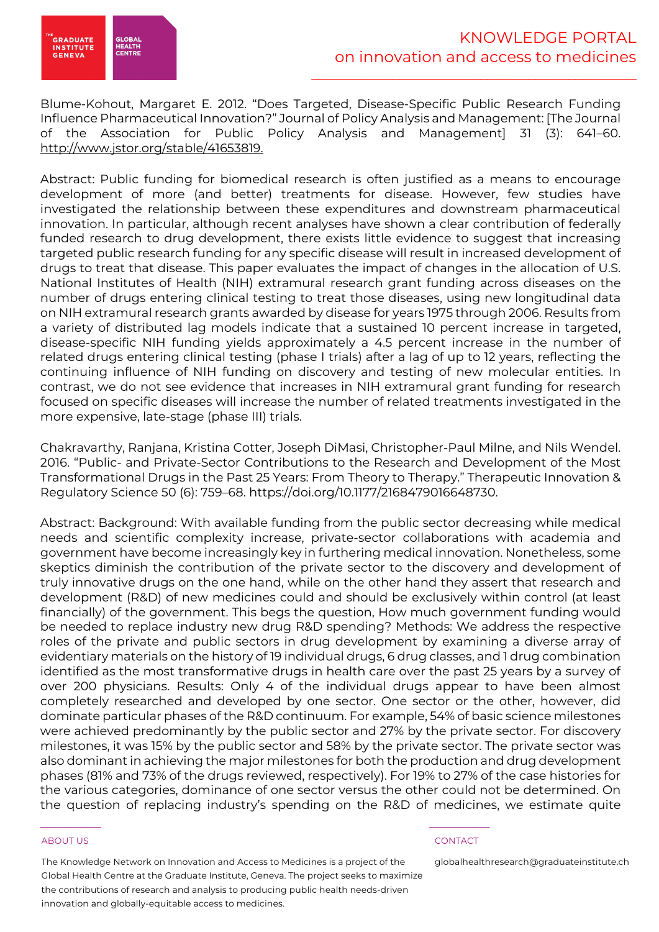

Blume-Kohout, Margaret E. 2012. "Does Targeted, Disease-Specific Public Research Funding Influence Pharmaceutical Innovation?" Journal of Policy Analysis and Management: [The Journal of the Association for Public Policy Analysis and Management] 31 (3): 641–60. http://www.jstor.org/stable/41653819.

Abstract: Public funding for biomedical research is often justified as a means to encourage development of more (and better) treatments for disease. However, few studies have investigated the relationship between these expenditures and downstream pharmaceutical innovation. In particular, although recent analyses have shown a clear contribution of federally funded research to drug development, there exists little evidence to suggest that increasing targeted public research funding for any specific disease will result in increased development of drugs to treat that disease. This paper evaluates the impact of changes in the allocation of U.S. National Institutes of Health (NIH) extramural research grant funding across diseases on the number of drugs entering clinical testing to treat those diseases, using new longitudinal data on NIH extramural research grants awarded by disease for years 1975 through 2006. Results from a variety of distributed lag models indicate that a sustained 10 percent increase in targeted, disease-specific NIH funding yields approximately a 4.5 percent increase in the number of related drugs entering clinical testing (phase I trials) after a lag of up to 12 years, reflecting the continuing influence of NIH funding on discovery and testing of new molecular entities. In contrast, we do not see evidence that increases in NIH extramural grant funding for research focused on specific diseases will increase the number of related treatments investigated in the more expensive, late-stage (phase III) trials.

Chakravarthy, Ranjana, Kristina Cotter, Joseph DiMasi, Christopher-Paul Milne, and Nils Wendel. 2016. "Public- and Private-Sector Contributions to the Research and Development of the Most Transformational Drugs in the Past 25 Years: From Theory to Therapy." Therapeutic Innovation & Regulatory Science 50 (6): 759–68. https://doi.org/10.1177/2168479016648730.

Abstract: Background: With available funding from the public sector decreasing while medical needs and scientific complexity increase, private-sector collaborations with academia and government have become increasingly key in furthering medical innovation. Nonetheless, some skeptics diminish the contribution of the private sector to the discovery and development of truly innovative drugs on the one hand, while on the other hand they assert that research and development (R&D) of new medicines could and should be exclusively within control (at least financially) of the government. This begs the question, How much government funding would be needed to replace industry new drug R&D spending? Methods: We address the respective roles of the private and public sectors in drug development by examining a diverse array of evidentiary materials on the history of 19 individual drugs, 6 drug classes, and 1 drug combination identified as the most transformative drugs in health care over the past 25 years by a survey of over 200 physicians. Results: Only 4 of the individual drugs appear to have been almost completely researched and developed by one sector. One sector or the other, however, did dominate particular phases of the R&D continuum. For example, 54% of basic science milestones were achieved predominantly by the public sector and 27% by the private sector. For discovery milestones, it was 15% by the public sector and 58% by the private sector. The private sector was also dominant in achieving the major milestones for both the production and drug development phases (81% and 73% of the drugs reviewed, respectively). For 19% to 27% of the case histories for the various categories, dominance of one sector versus the other could not be determined. On the question of replacing industry's spending on the R&D of medicines, we estimate quite

### ABOUT US CONTACT AND A RESERVE AND LODGED AT A RESERVE AND LODGED AT A RESERVE AND LODGED AT A RESERVE AND LODGED AT A RESERVE AND LODGED AT A RESERVE AND LODGED AT A RESERVE AND LODGED AT A RESERVE AND LODGED AT A RESERVE

The Knowledge Network on Innovation and Access to Medicines is a project of the Global Health Centre at the Graduate Institute, Geneva. The project seeks to maximize the contributions of research and analysis to producing public health needs-driven innovation and globally-equitable access to medicines.

 $\frac{1}{2}$  , and the set of the set of the set of the set of the set of the set of the set of the set of the set of the set of the set of the set of the set of the set of the set of the set of the set of the set of the set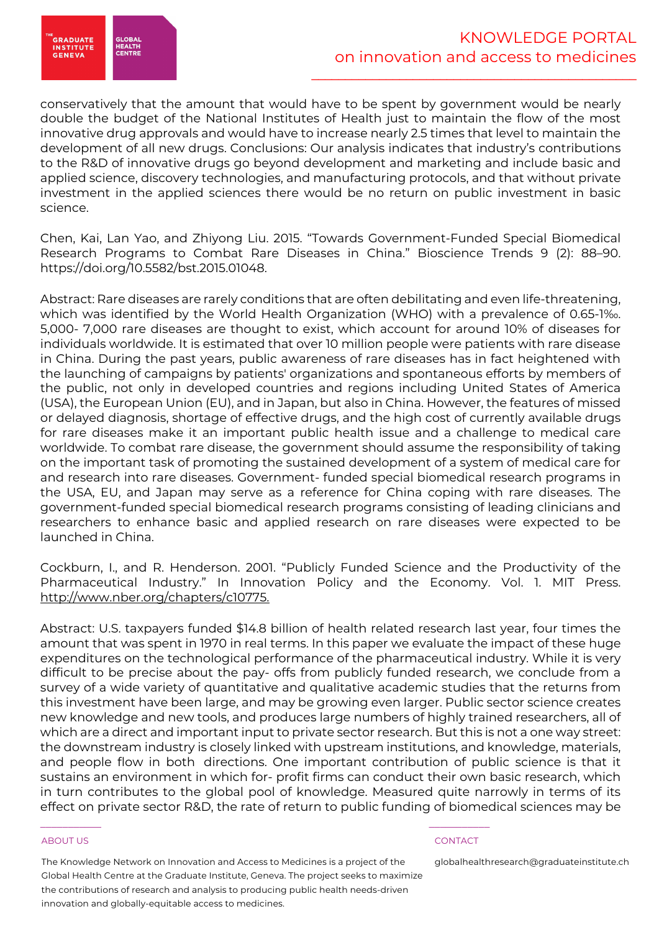

conservatively that the amount that would have to be spent by government would be nearly double the budget of the National Institutes of Health just to maintain the flow of the most innovative drug approvals and would have to increase nearly 2.5 times that level to maintain the development of all new drugs. Conclusions: Our analysis indicates that industry's contributions to the R&D of innovative drugs go beyond development and marketing and include basic and applied science, discovery technologies, and manufacturing protocols, and that without private investment in the applied sciences there would be no return on public investment in basic science.

Chen, Kai, Lan Yao, and Zhiyong Liu. 2015. "Towards Government-Funded Special Biomedical Research Programs to Combat Rare Diseases in China." Bioscience Trends 9 (2): 88–90. https://doi.org/10.5582/bst.2015.01048.

Abstract: Rare diseases are rarely conditions that are often debilitating and even life-threatening, which was identified by the World Health Organization (WHO) with a prevalence of 0.65-1‰. 5,000- 7,000 rare diseases are thought to exist, which account for around 10% of diseases for individuals worldwide. It is estimated that over 10 million people were patients with rare disease in China. During the past years, public awareness of rare diseases has in fact heightened with the launching of campaigns by patients' organizations and spontaneous efforts by members of the public, not only in developed countries and regions including United States of America (USA), the European Union (EU), and in Japan, but also in China. However, the features of missed or delayed diagnosis, shortage of effective drugs, and the high cost of currently available drugs for rare diseases make it an important public health issue and a challenge to medical care worldwide. To combat rare disease, the government should assume the responsibility of taking on the important task of promoting the sustained development of a system of medical care for and research into rare diseases. Government- funded special biomedical research programs in the USA, EU, and Japan may serve as a reference for China coping with rare diseases. The government-funded special biomedical research programs consisting of leading clinicians and researchers to enhance basic and applied research on rare diseases were expected to be launched in China.

Cockburn, I., and R. Henderson. 2001. "Publicly Funded Science and the Productivity of the Pharmaceutical Industry." In Innovation Policy and the Economy. Vol. 1. MIT Press. http://www.nber.org/chapters/c10775.

Abstract: U.S. taxpayers funded \$14.8 billion of health related research last year, four times the amount that was spent in 1970 in real terms. In this paper we evaluate the impact of these huge expenditures on the technological performance of the pharmaceutical industry. While it is very difficult to be precise about the pay- offs from publicly funded research, we conclude from a survey of a wide variety of quantitative and qualitative academic studies that the returns from this investment have been large, and may be growing even larger. Public sector science creates new knowledge and new tools, and produces large numbers of highly trained researchers, all of which are a direct and important input to private sector research. But this is not a one way street: the downstream industry is closely linked with upstream institutions, and knowledge, materials, and people flow in both directions. One important contribution of public science is that it sustains an environment in which for- profit firms can conduct their own basic research, which in turn contributes to the global pool of knowledge. Measured quite narrowly in terms of its effect on private sector R&D, the rate of return to public funding of biomedical sciences may be

### ABOUT US CONTACT AND A RESERVE AND LODGED AT A RESERVE AND LODGED AT A RESERVE AND LODGED AT A RESERVE AND LODGED AT A RESERVE AND LODGED AT A RESERVE AND LODGED AT A RESERVE AND LODGED AT A RESERVE AND LODGED AT A RESERVE

The Knowledge Network on Innovation and Access to Medicines is a project of the Global Health Centre at the Graduate Institute, Geneva. The project seeks to maximize the contributions of research and analysis to producing public health needs-driven innovation and globally-equitable access to medicines.

 $\frac{1}{2}$  , and the set of the set of the set of the set of the set of the set of the set of the set of the set of the set of the set of the set of the set of the set of the set of the set of the set of the set of the set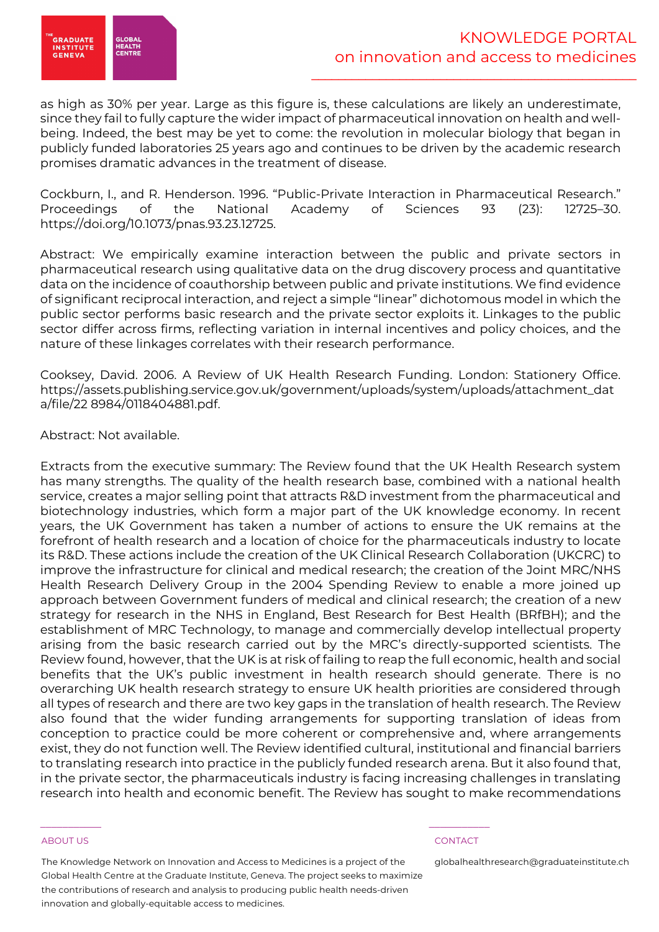

as high as 30% per year. Large as this figure is, these calculations are likely an underestimate, since they fail to fully capture the wider impact of pharmaceutical innovation on health and wellbeing. Indeed, the best may be yet to come: the revolution in molecular biology that began in publicly funded laboratories 25 years ago and continues to be driven by the academic research promises dramatic advances in the treatment of disease.

Cockburn, I., and R. Henderson. 1996. "Public-Private Interaction in Pharmaceutical Research." Proceedings of the National Academy of Sciences 93 (23): 12725–30. https://doi.org/10.1073/pnas.93.23.12725.

Abstract: We empirically examine interaction between the public and private sectors in pharmaceutical research using qualitative data on the drug discovery process and quantitative data on the incidence of coauthorship between public and private institutions. We find evidence of significant reciprocal interaction, and reject a simple "linear" dichotomous model in which the public sector performs basic research and the private sector exploits it. Linkages to the public sector differ across firms, reflecting variation in internal incentives and policy choices, and the nature of these linkages correlates with their research performance.

Cooksey, David. 2006. A Review of UK Health Research Funding. London: Stationery Office. https://assets.publishing.service.gov.uk/government/uploads/system/uploads/attachment\_dat a/file/22 8984/0118404881.pdf.

# Abstract: Not available.

Extracts from the executive summary: The Review found that the UK Health Research system has many strengths. The quality of the health research base, combined with a national health service, creates a major selling point that attracts R&D investment from the pharmaceutical and biotechnology industries, which form a major part of the UK knowledge economy. In recent years, the UK Government has taken a number of actions to ensure the UK remains at the forefront of health research and a location of choice for the pharmaceuticals industry to locate its R&D. These actions include the creation of the UK Clinical Research Collaboration (UKCRC) to improve the infrastructure for clinical and medical research; the creation of the Joint MRC/NHS Health Research Delivery Group in the 2004 Spending Review to enable a more joined up approach between Government funders of medical and clinical research; the creation of a new strategy for research in the NHS in England, Best Research for Best Health (BRfBH); and the establishment of MRC Technology, to manage and commercially develop intellectual property arising from the basic research carried out by the MRC's directly-supported scientists. The Review found, however, that the UK is at risk of failing to reap the full economic, health and social benefits that the UK's public investment in health research should generate. There is no overarching UK health research strategy to ensure UK health priorities are considered through all types of research and there are two key gaps in the translation of health research. The Review also found that the wider funding arrangements for supporting translation of ideas from conception to practice could be more coherent or comprehensive and, where arrangements exist, they do not function well. The Review identified cultural, institutional and financial barriers to translating research into practice in the publicly funded research arena. But it also found that, in the private sector, the pharmaceuticals industry is facing increasing challenges in translating research into health and economic benefit. The Review has sought to make recommendations

# ABOUT US CONTACT AND A RESERVE AND LODGED AT A RESERVE AND LODGED AT A RESERVE AND LODGED AT A RESERVE AND LODGED AT A RESERVE AND LODGED AT A RESERVE AND LODGED AT A RESERVE AND LODGED AT A RESERVE AND LODGED AT A RESERVE

The Knowledge Network on Innovation and Access to Medicines is a project of the Global Health Centre at the Graduate Institute, Geneva. The project seeks to maximize the contributions of research and analysis to producing public health needs-driven innovation and globally-equitable access to medicines.

 $\frac{1}{2}$  , and the set of the set of the set of the set of the set of the set of the set of the set of the set of the set of the set of the set of the set of the set of the set of the set of the set of the set of the set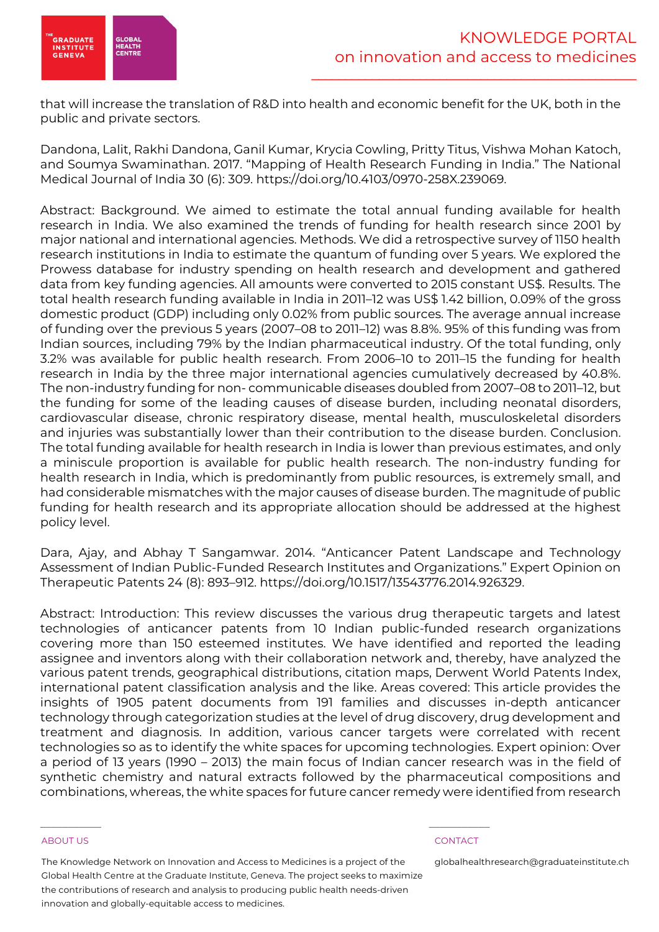



that will increase the translation of R&D into health and economic benefit for the UK, both in the public and private sectors.

Dandona, Lalit, Rakhi Dandona, Ganil Kumar, Krycia Cowling, Pritty Titus, Vishwa Mohan Katoch, and Soumya Swaminathan. 2017. "Mapping of Health Research Funding in India." The National Medical Journal of India 30 (6): 309. https://doi.org/10.4103/0970-258X.239069.

Abstract: Background. We aimed to estimate the total annual funding available for health research in India. We also examined the trends of funding for health research since 2001 by major national and international agencies. Methods. We did a retrospective survey of 1150 health research institutions in India to estimate the quantum of funding over 5 years. We explored the Prowess database for industry spending on health research and development and gathered data from key funding agencies. All amounts were converted to 2015 constant US\$. Results. The total health research funding available in India in 2011–12 was US\$ 1.42 billion, 0.09% of the gross domestic product (GDP) including only 0.02% from public sources. The average annual increase of funding over the previous 5 years (2007–08 to 2011–12) was 8.8%. 95% of this funding was from Indian sources, including 79% by the Indian pharmaceutical industry. Of the total funding, only 3.2% was available for public health research. From 2006–10 to 2011–15 the funding for health research in India by the three major international agencies cumulatively decreased by 40.8%. The non-industry funding for non- communicable diseases doubled from 2007–08 to 2011–12, but the funding for some of the leading causes of disease burden, including neonatal disorders, cardiovascular disease, chronic respiratory disease, mental health, musculoskeletal disorders and injuries was substantially lower than their contribution to the disease burden. Conclusion. The total funding available for health research in India is lower than previous estimates, and only a miniscule proportion is available for public health research. The non-industry funding for health research in India, which is predominantly from public resources, is extremely small, and had considerable mismatches with the major causes of disease burden. The magnitude of public funding for health research and its appropriate allocation should be addressed at the highest policy level.

Dara, Ajay, and Abhay T Sangamwar. 2014. "Anticancer Patent Landscape and Technology Assessment of Indian Public-Funded Research Institutes and Organizations." Expert Opinion on Therapeutic Patents 24 (8): 893–912. https://doi.org/10.1517/13543776.2014.926329.

Abstract: Introduction: This review discusses the various drug therapeutic targets and latest technologies of anticancer patents from 10 Indian public-funded research organizations covering more than 150 esteemed institutes. We have identified and reported the leading assignee and inventors along with their collaboration network and, thereby, have analyzed the various patent trends, geographical distributions, citation maps, Derwent World Patents Index, international patent classification analysis and the like. Areas covered: This article provides the insights of 1905 patent documents from 191 families and discusses in-depth anticancer technology through categorization studies at the level of drug discovery, drug development and treatment and diagnosis. In addition, various cancer targets were correlated with recent technologies so as to identify the white spaces for upcoming technologies. Expert opinion: Over a period of 13 years (1990 – 2013) the main focus of Indian cancer research was in the field of synthetic chemistry and natural extracts followed by the pharmaceutical compositions and combinations, whereas, the white spaces for future cancer remedy were identified from research

### ABOUT US CONTACT AND A RESERVE AND LODGED AT A RESERVE AND LODGED AT A RESERVE AND LODGED AT A RESERVE AND LODGED AT A RESERVE AND LODGED AT A RESERVE AND LODGED AT A RESERVE AND LODGED AT A RESERVE AND LODGED AT A RESERVE

The Knowledge Network on Innovation and Access to Medicines is a project of the Global Health Centre at the Graduate Institute, Geneva. The project seeks to maximize the contributions of research and analysis to producing public health needs-driven innovation and globally-equitable access to medicines.

 $\frac{1}{2}$  , and the set of the set of the set of the set of the set of the set of the set of the set of the set of the set of the set of the set of the set of the set of the set of the set of the set of the set of the set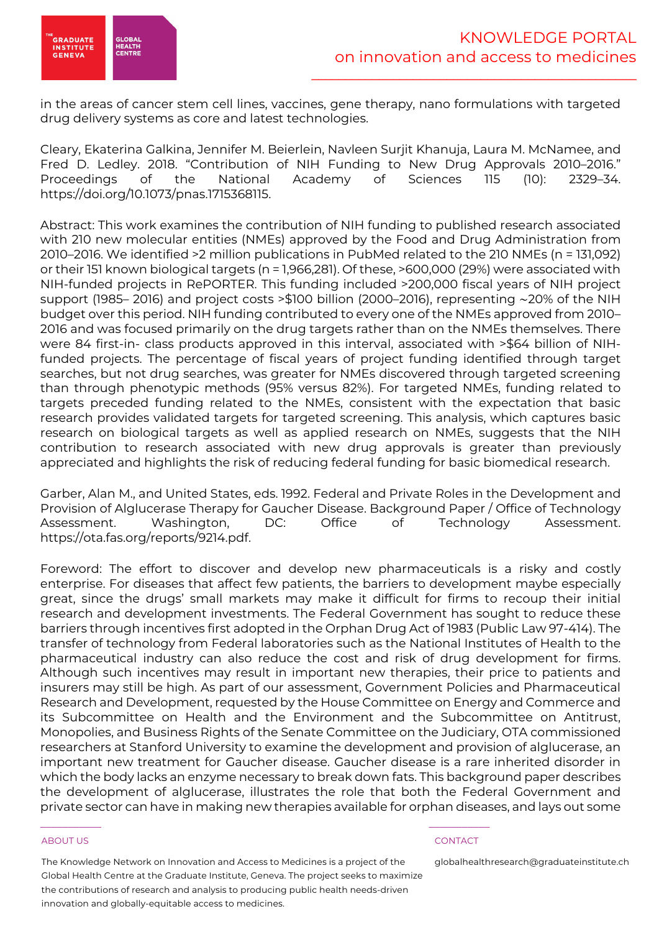

in the areas of cancer stem cell lines, vaccines, gene therapy, nano formulations with targeted drug delivery systems as core and latest technologies.

Cleary, Ekaterina Galkina, Jennifer M. Beierlein, Navleen Surjit Khanuja, Laura M. McNamee, and Fred D. Ledley. 2018. "Contribution of NIH Funding to New Drug Approvals 2010–2016." Proceedings of the National Academy of Sciences 115 (10): 2329–34. https://doi.org/10.1073/pnas.1715368115.

Abstract: This work examines the contribution of NIH funding to published research associated with 210 new molecular entities (NMEs) approved by the Food and Drug Administration from 2010–2016. We identified >2 million publications in PubMed related to the 210 NMEs (n = 131,092) or their 151 known biological targets (n = 1,966,281). Of these, >600,000 (29%) were associated with NIH-funded projects in RePORTER. This funding included >200,000 fiscal years of NIH project support (1985– 2016) and project costs >\$100 billion (2000–2016), representing ∼20% of the NIH budget over this period. NIH funding contributed to every one of the NMEs approved from 2010– 2016 and was focused primarily on the drug targets rather than on the NMEs themselves. There were 84 first-in- class products approved in this interval, associated with >\$64 billion of NIHfunded projects. The percentage of fiscal years of project funding identified through target searches, but not drug searches, was greater for NMEs discovered through targeted screening than through phenotypic methods (95% versus 82%). For targeted NMEs, funding related to targets preceded funding related to the NMEs, consistent with the expectation that basic research provides validated targets for targeted screening. This analysis, which captures basic research on biological targets as well as applied research on NMEs, suggests that the NIH contribution to research associated with new drug approvals is greater than previously appreciated and highlights the risk of reducing federal funding for basic biomedical research.

Garber, Alan M., and United States, eds. 1992. Federal and Private Roles in the Development and Provision of Alglucerase Therapy for Gaucher Disease. Background Paper / Office of Technology Assessment. Washington, DC: Office of Technology Assessment. https://ota.fas.org/reports/9214.pdf.

Foreword: The effort to discover and develop new pharmaceuticals is a risky and costly enterprise. For diseases that affect few patients, the barriers to development maybe especially great, since the drugs' small markets may make it difficult for firms to recoup their initial research and development investments. The Federal Government has sought to reduce these barriers through incentives first adopted in the Orphan Drug Act of 1983 (Public Law 97-414). The transfer of technology from Federal laboratories such as the National Institutes of Health to the pharmaceutical industry can also reduce the cost and risk of drug development for firms. Although such incentives may result in important new therapies, their price to patients and insurers may still be high. As part of our assessment, Government Policies and Pharmaceutical Research and Development, requested by the House Committee on Energy and Commerce and its Subcommittee on Health and the Environment and the Subcommittee on Antitrust, Monopolies, and Business Rights of the Senate Committee on the Judiciary, OTA commissioned researchers at Stanford University to examine the development and provision of alglucerase, an important new treatment for Gaucher disease. Gaucher disease is a rare inherited disorder in which the body lacks an enzyme necessary to break down fats. This background paper describes the development of alglucerase, illustrates the role that both the Federal Government and private sector can have in making new therapies available for orphan diseases, and lays out some

### ABOUT US CONTACT AND A RESERVE AND LODGED AT A RESERVE AND LODGED AT A RESERVE AND LODGED AT A RESERVE AND LODGED AT A RESERVE AND LODGED AT A RESERVE AND LODGED AT A RESERVE AND LODGED AT A RESERVE AND LODGED AT A RESERVE

The Knowledge Network on Innovation and Access to Medicines is a project of the Global Health Centre at the Graduate Institute, Geneva. The project seeks to maximize the contributions of research and analysis to producing public health needs-driven innovation and globally-equitable access to medicines.

 $\frac{1}{2}$  , and the set of the set of the set of the set of the set of the set of the set of the set of the set of the set of the set of the set of the set of the set of the set of the set of the set of the set of the set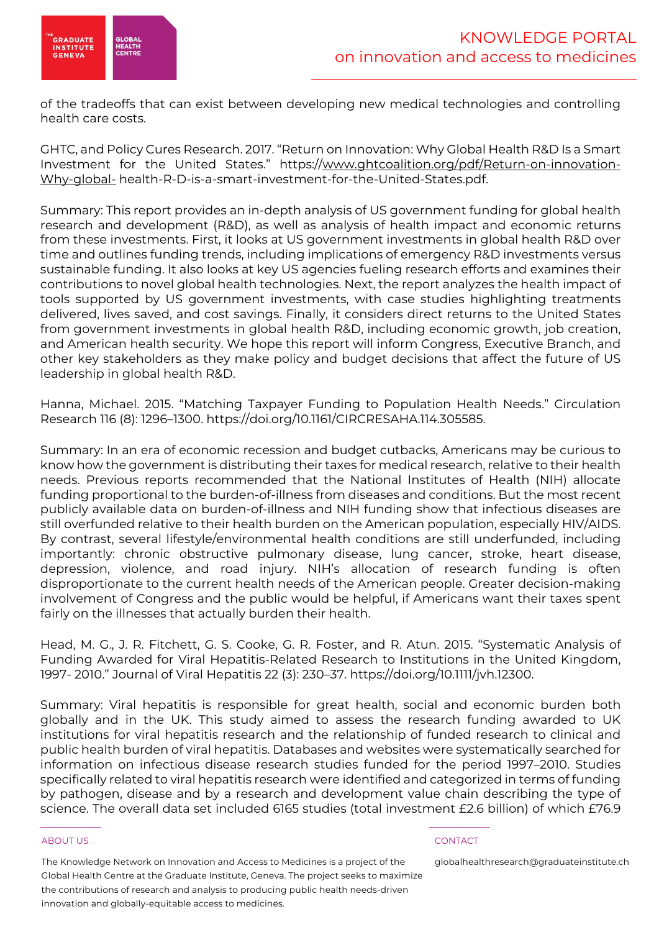

of the tradeoffs that can exist between developing new medical technologies and controlling health care costs.

GHTC, and Policy Cures Research. 2017. "Return on Innovation: Why Global Health R&D Is a Smart Investment for the United States." https://www.ghtcoalition.org/pdf/Return-on-innovation-Why-global- health-R-D-is-a-smart-investment-for-the-United-States.pdf.

Summary: This report provides an in-depth analysis of US government funding for global health research and development (R&D), as well as analysis of health impact and economic returns from these investments. First, it looks at US government investments in global health R&D over time and outlines funding trends, including implications of emergency R&D investments versus sustainable funding. It also looks at key US agencies fueling research efforts and examines their contributions to novel global health technologies. Next, the report analyzes the health impact of tools supported by US government investments, with case studies highlighting treatments delivered, lives saved, and cost savings. Finally, it considers direct returns to the United States from government investments in global health R&D, including economic growth, job creation, and American health security. We hope this report will inform Congress, Executive Branch, and other key stakeholders as they make policy and budget decisions that affect the future of US leadership in global health R&D.

Hanna, Michael. 2015. "Matching Taxpayer Funding to Population Health Needs." Circulation Research 116 (8): 1296–1300. https://doi.org/10.1161/CIRCRESAHA.114.305585.

Summary: In an era of economic recession and budget cutbacks, Americans may be curious to know how the government is distributing their taxes for medical research, relative to their health needs. Previous reports recommended that the National Institutes of Health (NIH) allocate funding proportional to the burden-of-illness from diseases and conditions. But the most recent publicly available data on burden-of-illness and NIH funding show that infectious diseases are still overfunded relative to their health burden on the American population, especially HIV/AIDS. By contrast, several lifestyle/environmental health conditions are still underfunded, including importantly: chronic obstructive pulmonary disease, lung cancer, stroke, heart disease, depression, violence, and road injury. NIH's allocation of research funding is often disproportionate to the current health needs of the American people. Greater decision-making involvement of Congress and the public would be helpful, if Americans want their taxes spent fairly on the illnesses that actually burden their health.

Head, M. G., J. R. Fitchett, G. S. Cooke, G. R. Foster, and R. Atun. 2015. "Systematic Analysis of Funding Awarded for Viral Hepatitis-Related Research to Institutions in the United Kingdom, 1997- 2010." Journal of Viral Hepatitis 22 (3): 230–37. https://doi.org/10.1111/jvh.12300.

Summary: Viral hepatitis is responsible for great health, social and economic burden both globally and in the UK. This study aimed to assess the research funding awarded to UK institutions for viral hepatitis research and the relationship of funded research to clinical and public health burden of viral hepatitis. Databases and websites were systematically searched for information on infectious disease research studies funded for the period 1997–2010. Studies specifically related to viral hepatitis research were identified and categorized in terms of funding by pathogen, disease and by a research and development value chain describing the type of science. The overall data set included 6165 studies (total investment £2.6 billion) of which £76.9

# ABOUT US CONTACT AND A RESERVE AND LODGED AT A RESERVE AND LODGED AT A RESERVE AND LODGED AT A RESERVE AND LODGED AT A RESERVE AND LODGED AT A RESERVE AND LODGED AT A RESERVE AND LODGED AT A RESERVE AND LODGED AT A RESERVE

The Knowledge Network on Innovation and Access to Medicines is a project of the Global Health Centre at the Graduate Institute, Geneva. The project seeks to maximize the contributions of research and analysis to producing public health needs-driven innovation and globally-equitable access to medicines.

 $\frac{1}{2}$  , and the set of the set of the set of the set of the set of the set of the set of the set of the set of the set of the set of the set of the set of the set of the set of the set of the set of the set of the set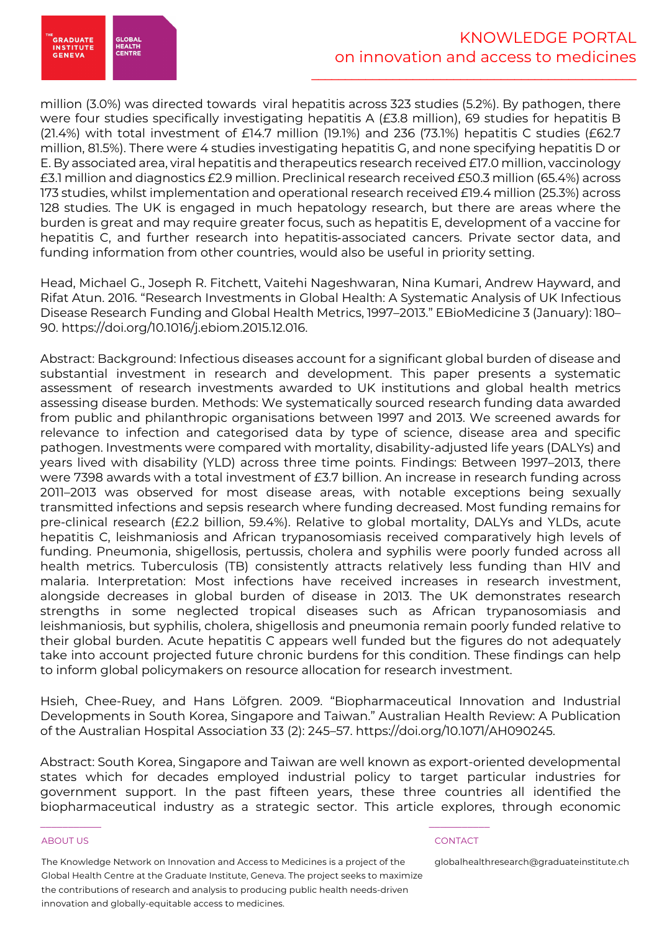.<br>GRADUATE<br>INSTITUTE **HEALTH**<br>CENTR **GENEVA** 

million (3.0%) was directed towards viral hepatitis across 323 studies (5.2%). By pathogen, there were four studies specifically investigating hepatitis A (£3.8 million), 69 studies for hepatitis B (21.4%) with total investment of £14.7 million (19.1%) and 236 (73.1%) hepatitis C studies (£62.7 million, 81.5%). There were 4 studies investigating hepatitis G, and none specifying hepatitis D or E. By associated area, viral hepatitis and therapeutics research received £17.0 million, vaccinology £3.1 million and diagnostics £2.9 million. Preclinical research received £50.3 million (65.4%) across 173 studies, whilst implementation and operational research received £19.4 million (25.3%) across 128 studies. The UK is engaged in much hepatology research, but there are areas where the burden is great and may require greater focus, such as hepatitis E, development of a vaccine for hepatitis C, and further research into hepatitis-associated cancers. Private sector data, and funding information from other countries, would also be useful in priority setting.

Head, Michael G., Joseph R. Fitchett, Vaitehi Nageshwaran, Nina Kumari, Andrew Hayward, and Rifat Atun. 2016. "Research Investments in Global Health: A Systematic Analysis of UK Infectious Disease Research Funding and Global Health Metrics, 1997–2013." EBioMedicine 3 (January): 180– 90. https://doi.org/10.1016/j.ebiom.2015.12.016.

Abstract: Background: Infectious diseases account for a significant global burden of disease and substantial investment in research and development. This paper presents a systematic assessment of research investments awarded to UK institutions and global health metrics assessing disease burden. Methods: We systematically sourced research funding data awarded from public and philanthropic organisations between 1997 and 2013. We screened awards for relevance to infection and categorised data by type of science, disease area and specific pathogen. Investments were compared with mortality, disability-adjusted life years (DALYs) and years lived with disability (YLD) across three time points. Findings: Between 1997–2013, there were 7398 awards with a total investment of £3.7 billion. An increase in research funding across 2011–2013 was observed for most disease areas, with notable exceptions being sexually transmitted infections and sepsis research where funding decreased. Most funding remains for pre-clinical research (£2.2 billion, 59.4%). Relative to global mortality, DALYs and YLDs, acute hepatitis C, leishmaniosis and African trypanosomiasis received comparatively high levels of funding. Pneumonia, shigellosis, pertussis, cholera and syphilis were poorly funded across all health metrics. Tuberculosis (TB) consistently attracts relatively less funding than HIV and malaria. Interpretation: Most infections have received increases in research investment, alongside decreases in global burden of disease in 2013. The UK demonstrates research strengths in some neglected tropical diseases such as African trypanosomiasis and leishmaniosis, but syphilis, cholera, shigellosis and pneumonia remain poorly funded relative to their global burden. Acute hepatitis C appears well funded but the figures do not adequately take into account projected future chronic burdens for this condition. These findings can help to inform global policymakers on resource allocation for research investment.

Hsieh, Chee-Ruey, and Hans Löfgren. 2009. "Biopharmaceutical Innovation and Industrial Developments in South Korea, Singapore and Taiwan." Australian Health Review: A Publication of the Australian Hospital Association 33 (2): 245–57. https://doi.org/10.1071/AH090245.

Abstract: South Korea, Singapore and Taiwan are well known as export-oriented developmental states which for decades employed industrial policy to target particular industries for government support. In the past fifteen years, these three countries all identified the biopharmaceutical industry as a strategic sector. This article explores, through economic

# ABOUT US CONTACT AND A RESERVE AND LODGED AT A RESERVE AND LODGED AT A RESERVE AND LODGED AT A RESERVE AND LODGED AT A RESERVE AND LODGED AT A RESERVE AND LODGED AT A RESERVE AND LODGED AT A RESERVE AND LODGED AT A RESERVE

The Knowledge Network on Innovation and Access to Medicines is a project of the Global Health Centre at the Graduate Institute, Geneva. The project seeks to maximize the contributions of research and analysis to producing public health needs-driven innovation and globally-equitable access to medicines.

 $\frac{1}{2}$  , and the set of the set of the set of the set of the set of the set of the set of the set of the set of the set of the set of the set of the set of the set of the set of the set of the set of the set of the set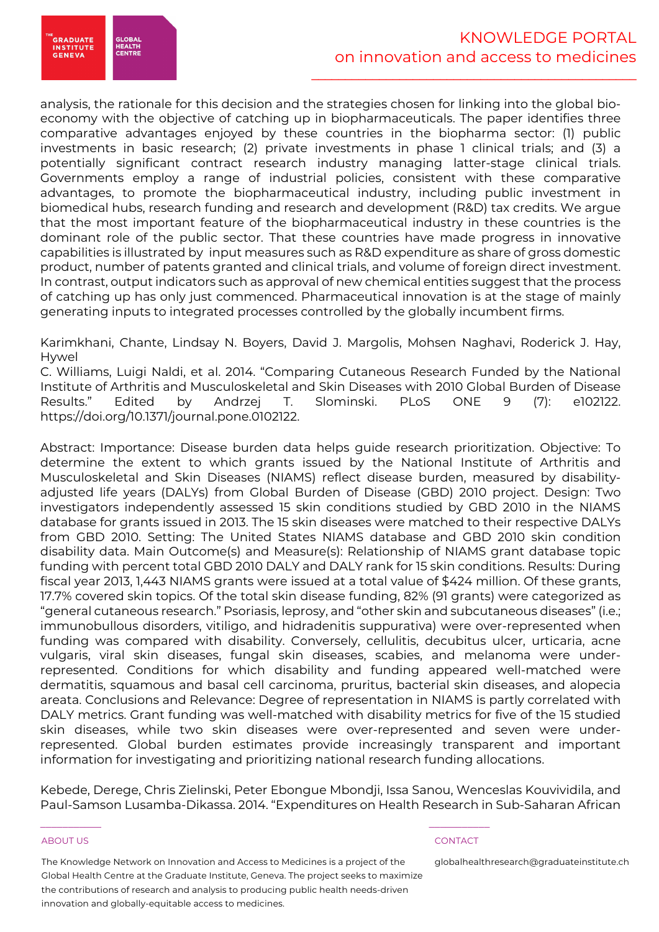.<br>GRADUATE<br>INSTITUTE **SLOBA BLOBAT**<br>HEALTH<br>CENTRE GENEVA

analysis, the rationale for this decision and the strategies chosen for linking into the global bioeconomy with the objective of catching up in biopharmaceuticals. The paper identifies three comparative advantages enjoyed by these countries in the biopharma sector: (1) public investments in basic research; (2) private investments in phase 1 clinical trials; and (3) a potentially significant contract research industry managing latter-stage clinical trials. Governments employ a range of industrial policies, consistent with these comparative advantages, to promote the biopharmaceutical industry, including public investment in biomedical hubs, research funding and research and development (R&D) tax credits. We argue that the most important feature of the biopharmaceutical industry in these countries is the dominant role of the public sector. That these countries have made progress in innovative capabilities is illustrated by input measures such as R&D expenditure as share of gross domestic product, number of patents granted and clinical trials, and volume of foreign direct investment. In contrast, output indicators such as approval of new chemical entities suggest that the process of catching up has only just commenced. Pharmaceutical innovation is at the stage of mainly generating inputs to integrated processes controlled by the globally incumbent firms.

Karimkhani, Chante, Lindsay N. Boyers, David J. Margolis, Mohsen Naghavi, Roderick J. Hay, Hywel

C. Williams, Luigi Naldi, et al. 2014. "Comparing Cutaneous Research Funded by the National Institute of Arthritis and Musculoskeletal and Skin Diseases with 2010 Global Burden of Disease Results." Edited by Andrzej T. Slominski. PLoS ONE 9 (7): e102122. https://doi.org/10.1371/journal.pone.0102122.

Abstract: Importance: Disease burden data helps guide research prioritization. Objective: To determine the extent to which grants issued by the National Institute of Arthritis and Musculoskeletal and Skin Diseases (NIAMS) reflect disease burden, measured by disabilityadjusted life years (DALYs) from Global Burden of Disease (GBD) 2010 project. Design: Two investigators independently assessed 15 skin conditions studied by GBD 2010 in the NIAMS database for grants issued in 2013. The 15 skin diseases were matched to their respective DALYs from GBD 2010. Setting: The United States NIAMS database and GBD 2010 skin condition disability data. Main Outcome(s) and Measure(s): Relationship of NIAMS grant database topic funding with percent total GBD 2010 DALY and DALY rank for 15 skin conditions. Results: During fiscal year 2013, 1,443 NIAMS grants were issued at a total value of \$424 million. Of these grants, 17.7% covered skin topics. Of the total skin disease funding, 82% (91 grants) were categorized as "general cutaneous research." Psoriasis, leprosy, and "other skin and subcutaneous diseases" (i.e.; immunobullous disorders, vitiligo, and hidradenitis suppurativa) were over-represented when funding was compared with disability. Conversely, cellulitis, decubitus ulcer, urticaria, acne vulgaris, viral skin diseases, fungal skin diseases, scabies, and melanoma were underrepresented. Conditions for which disability and funding appeared well-matched were dermatitis, squamous and basal cell carcinoma, pruritus, bacterial skin diseases, and alopecia areata. Conclusions and Relevance: Degree of representation in NIAMS is partly correlated with DALY metrics. Grant funding was well-matched with disability metrics for five of the 15 studied skin diseases, while two skin diseases were over-represented and seven were underrepresented. Global burden estimates provide increasingly transparent and important information for investigating and prioritizing national research funding allocations.

Kebede, Derege, Chris Zielinski, Peter Ebongue Mbondji, Issa Sanou, Wenceslas Kouvividila, and Paul-Samson Lusamba-Dikassa. 2014. "Expenditures on Health Research in Sub-Saharan African

# ABOUT US CONTACT AND A RESERVE AND LODGED AT A RESERVE AND LODGED AT A RESERVE AND LODGED AT A RESERVE AND LODGED AT A RESERVE AND LODGED AT A RESERVE AND LODGED AT A RESERVE AND LODGED AT A RESERVE AND LODGED AT A RESERVE

The Knowledge Network on Innovation and Access to Medicines is a project of the Global Health Centre at the Graduate Institute, Geneva. The project seeks to maximize the contributions of research and analysis to producing public health needs-driven innovation and globally-equitable access to medicines.

 $\frac{1}{2}$  , and the set of the set of the set of the set of the set of the set of the set of the set of the set of the set of the set of the set of the set of the set of the set of the set of the set of the set of the set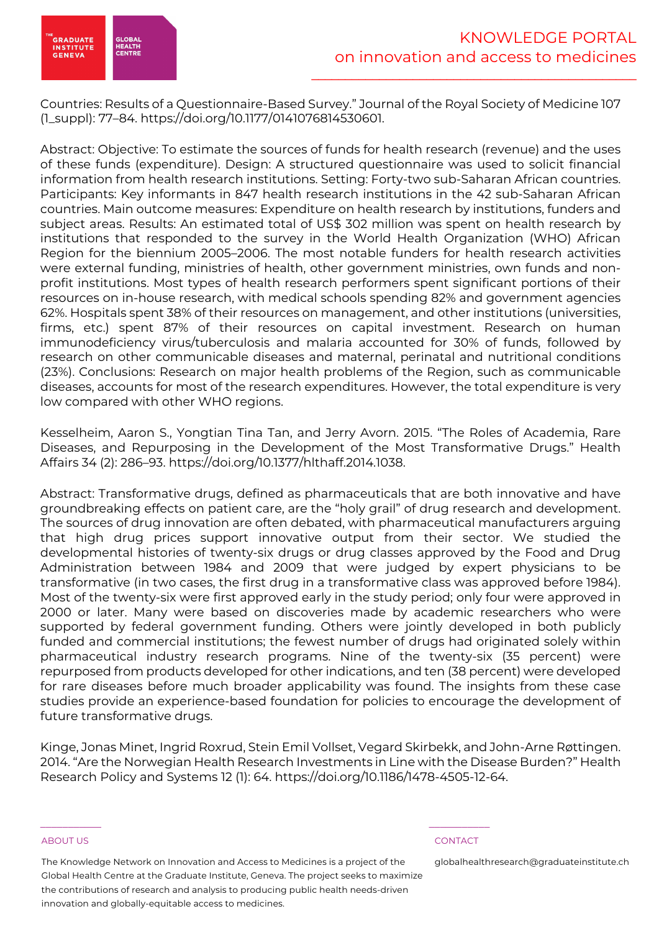

Countries: Results of a Questionnaire-Based Survey." Journal of the Royal Society of Medicine 107 (1\_suppl): 77–84. https://doi.org/10.1177/0141076814530601.

Abstract: Objective: To estimate the sources of funds for health research (revenue) and the uses of these funds (expenditure). Design: A structured questionnaire was used to solicit financial information from health research institutions. Setting: Forty-two sub-Saharan African countries. Participants: Key informants in 847 health research institutions in the 42 sub-Saharan African countries. Main outcome measures: Expenditure on health research by institutions, funders and subject areas. Results: An estimated total of US\$ 302 million was spent on health research by institutions that responded to the survey in the World Health Organization (WHO) African Region for the biennium 2005–2006. The most notable funders for health research activities were external funding, ministries of health, other government ministries, own funds and nonprofit institutions. Most types of health research performers spent significant portions of their resources on in-house research, with medical schools spending 82% and government agencies 62%. Hospitals spent 38% of their resources on management, and other institutions (universities, firms, etc.) spent 87% of their resources on capital investment. Research on human immunodeficiency virus/tuberculosis and malaria accounted for 30% of funds, followed by research on other communicable diseases and maternal, perinatal and nutritional conditions (23%). Conclusions: Research on major health problems of the Region, such as communicable diseases, accounts for most of the research expenditures. However, the total expenditure is very low compared with other WHO regions.

Kesselheim, Aaron S., Yongtian Tina Tan, and Jerry Avorn. 2015. "The Roles of Academia, Rare Diseases, and Repurposing in the Development of the Most Transformative Drugs." Health Affairs 34 (2): 286–93. https://doi.org/10.1377/hlthaff.2014.1038.

Abstract: Transformative drugs, defined as pharmaceuticals that are both innovative and have groundbreaking effects on patient care, are the "holy grail" of drug research and development. The sources of drug innovation are often debated, with pharmaceutical manufacturers arguing that high drug prices support innovative output from their sector. We studied the developmental histories of twenty-six drugs or drug classes approved by the Food and Drug Administration between 1984 and 2009 that were judged by expert physicians to be transformative (in two cases, the first drug in a transformative class was approved before 1984). Most of the twenty-six were first approved early in the study period; only four were approved in 2000 or later. Many were based on discoveries made by academic researchers who were supported by federal government funding. Others were jointly developed in both publicly funded and commercial institutions; the fewest number of drugs had originated solely within pharmaceutical industry research programs. Nine of the twenty-six (35 percent) were repurposed from products developed for other indications, and ten (38 percent) were developed for rare diseases before much broader applicability was found. The insights from these case studies provide an experience-based foundation for policies to encourage the development of future transformative drugs.

Kinge, Jonas Minet, Ingrid Roxrud, Stein Emil Vollset, Vegard Skirbekk, and John-Arne Røttingen. 2014. "Are the Norwegian Health Research Investments in Line with the Disease Burden?" Health Research Policy and Systems 12 (1): 64. https://doi.org/10.1186/1478-4505-12-64.

# ABOUT US CONTACT AND A RESERVE AND LODGED AT A RESERVE AND LODGED AT A RESERVE AND LODGED AT A RESERVE AND LODGED AT A RESERVE AND LODGED AT A RESERVE AND LODGED AT A RESERVE AND LODGED AT A RESERVE AND LODGED AT A RESERVE

The Knowledge Network on Innovation and Access to Medicines is a project of the Global Health Centre at the Graduate Institute, Geneva. The project seeks to maximize the contributions of research and analysis to producing public health needs-driven innovation and globally-equitable access to medicines.

 $\frac{1}{2}$  , and the set of the set of the set of the set of the set of the set of the set of the set of the set of the set of the set of the set of the set of the set of the set of the set of the set of the set of the set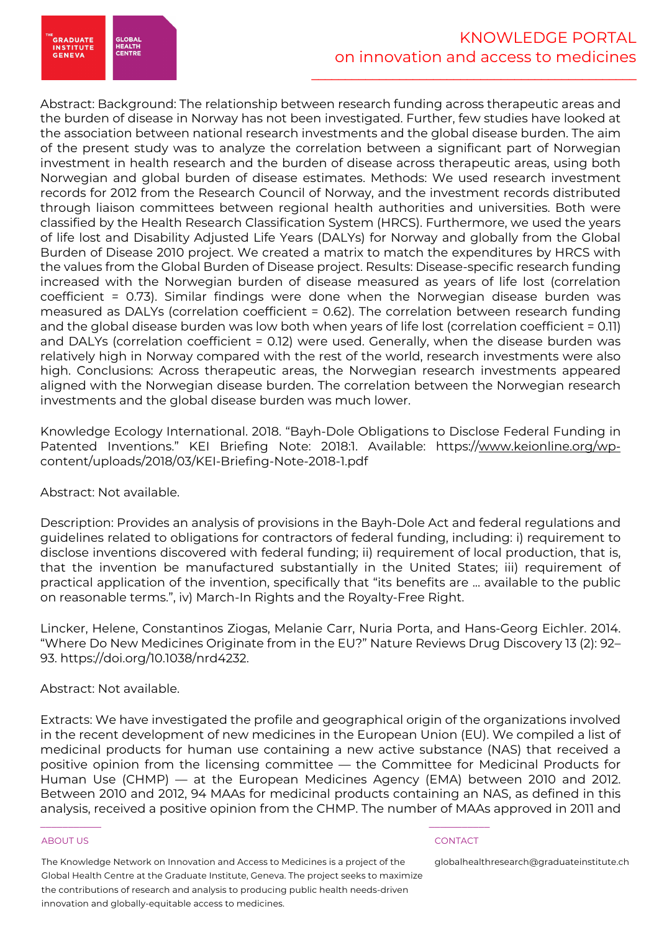.<br>GRADUATE<br>INSTITUTE **GLOBA** HEALTH<br>CENTRI **GENEVA** 

# Abstract: Background: The relationship between research funding across therapeutic areas and the burden of disease in Norway has not been investigated. Further, few studies have looked at the association between national research investments and the global disease burden. The aim of the present study was to analyze the correlation between a significant part of Norwegian investment in health research and the burden of disease across therapeutic areas, using both Norwegian and global burden of disease estimates. Methods: We used research investment records for 2012 from the Research Council of Norway, and the investment records distributed through liaison committees between regional health authorities and universities. Both were classified by the Health Research Classification System (HRCS). Furthermore, we used the years of life lost and Disability Adjusted Life Years (DALYs) for Norway and globally from the Global Burden of Disease 2010 project. We created a matrix to match the expenditures by HRCS with the values from the Global Burden of Disease project. Results: Disease-specific research funding increased with the Norwegian burden of disease measured as years of life lost (correlation coefficient = 0.73). Similar findings were done when the Norwegian disease burden was measured as DALYs (correlation coefficient = 0.62). The correlation between research funding and the global disease burden was low both when years of life lost (correlation coefficient = 0.11)

and DALYs (correlation coefficient = 0.12) were used. Generally, when the disease burden was relatively high in Norway compared with the rest of the world, research investments were also high. Conclusions: Across therapeutic areas, the Norwegian research investments appeared aligned with the Norwegian disease burden. The correlation between the Norwegian research investments and the global disease burden was much lower.

Knowledge Ecology International. 2018. "Bayh-Dole Obligations to Disclose Federal Funding in Patented Inventions." KEI Briefing Note: 2018:1. Available: https://www.keionline.org/wpcontent/uploads/2018/03/KEI-Briefing-Note-2018-1.pdf

Abstract: Not available.

Description: Provides an analysis of provisions in the Bayh-Dole Act and federal regulations and guidelines related to obligations for contractors of federal funding, including: i) requirement to disclose inventions discovered with federal funding; ii) requirement of local production, that is, that the invention be manufactured substantially in the United States; iii) requirement of practical application of the invention, specifically that "its benefits are ... available to the public on reasonable terms.", iv) March-In Rights and the Royalty-Free Right.

Lincker, Helene, Constantinos Ziogas, Melanie Carr, Nuria Porta, and Hans-Georg Eichler. 2014. "Where Do New Medicines Originate from in the EU?" Nature Reviews Drug Discovery 13 (2): 92– 93. https://doi.org/10.1038/nrd4232.

Abstract: Not available.

Extracts: We have investigated the profile and geographical origin of the organizations involved in the recent development of new medicines in the European Union (EU). We compiled a list of medicinal products for human use containing a new active substance (NAS) that received a positive opinion from the licensing committee — the Committee for Medicinal Products for Human Use (CHMP) — at the European Medicines Agency (EMA) between 2010 and 2012. Between 2010 and 2012, 94 MAAs for medicinal products containing an NAS, as defined in this analysis, received a positive opinion from the CHMP. The number of MAAs approved in 2011 and

# ABOUT US CONTACT AND A RESERVE AND LODGED AT A RESERVE AND LODGED AT A RESERVE AND LODGED AT A RESERVE AND LODGED AT A RESERVE AND LODGED AT A RESERVE AND LODGED AT A RESERVE AND LODGED AT A RESERVE AND LODGED AT A RESERVE

The Knowledge Network on Innovation and Access to Medicines is a project of the Global Health Centre at the Graduate Institute, Geneva. The project seeks to maximize the contributions of research and analysis to producing public health needs-driven innovation and globally-equitable access to medicines.

 $\frac{1}{2}$  , and the set of the set of the set of the set of the set of the set of the set of the set of the set of the set of the set of the set of the set of the set of the set of the set of the set of the set of the set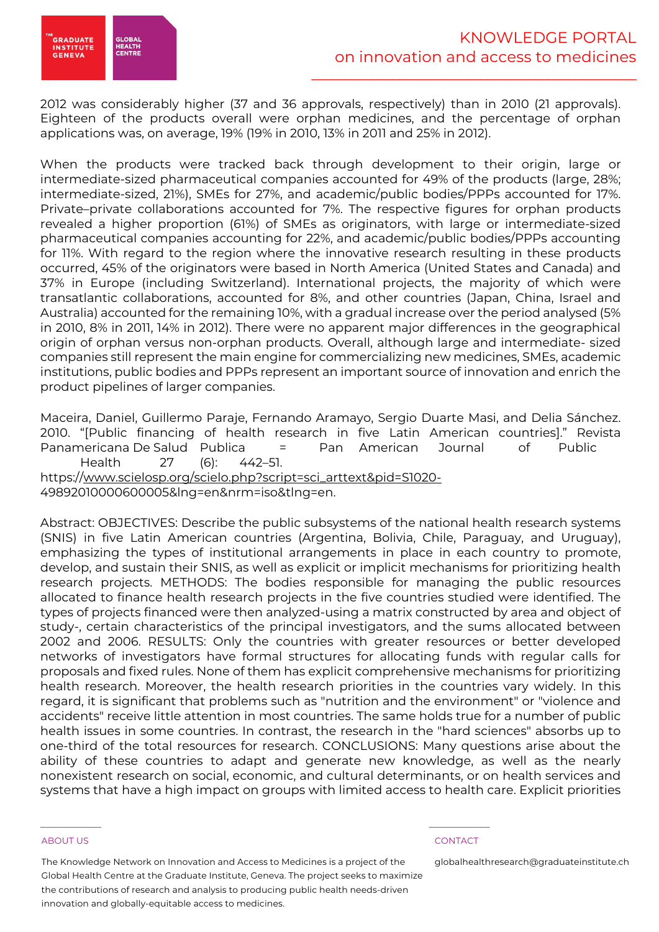

2012 was considerably higher (37 and 36 approvals, respectively) than in 2010 (21 approvals). Eighteen of the products overall were orphan medicines, and the percentage of orphan applications was, on average, 19% (19% in 2010, 13% in 2011 and 25% in 2012).

When the products were tracked back through development to their origin. large or intermediate-sized pharmaceutical companies accounted for 49% of the products (large, 28%; intermediate-sized, 21%), SMEs for 27%, and academic/public bodies/PPPs accounted for 17%. Private–private collaborations accounted for 7%. The respective figures for orphan products revealed a higher proportion (61%) of SMEs as originators, with large or intermediate-sized pharmaceutical companies accounting for 22%, and academic/public bodies/PPPs accounting for 11%. With regard to the region where the innovative research resulting in these products occurred, 45% of the originators were based in North America (United States and Canada) and 37% in Europe (including Switzerland). International projects, the majority of which were transatlantic collaborations, accounted for 8%, and other countries (Japan, China, Israel and Australia) accounted for the remaining 10%, with a gradual increase over the period analysed (5% in 2010, 8% in 2011, 14% in 2012). There were no apparent major differences in the geographical origin of orphan versus non-orphan products. Overall, although large and intermediate- sized companies still represent the main engine for commercializing new medicines, SMEs, academic institutions, public bodies and PPPs represent an important source of innovation and enrich the product pipelines of larger companies.

Maceira, Daniel, Guillermo Paraje, Fernando Aramayo, Sergio Duarte Masi, and Delia Sánchez. 2010. "[Public financing of health research in five Latin American countries]." Revista Panamericana De Salud Publica = Pan American Journal of Public Health 27 (6): 442–51.

https://www.scielosp.org/scielo.php?script=sci\_arttext&pid=S1020- 49892010000600005&lng=en&nrm=iso&tlng=en.

Abstract: OBJECTIVES: Describe the public subsystems of the national health research systems (SNIS) in five Latin American countries (Argentina, Bolivia, Chile, Paraguay, and Uruguay), emphasizing the types of institutional arrangements in place in each country to promote, develop, and sustain their SNIS, as well as explicit or implicit mechanisms for prioritizing health research projects. METHODS: The bodies responsible for managing the public resources allocated to finance health research projects in the five countries studied were identified. The types of projects financed were then analyzed-using a matrix constructed by area and object of study-, certain characteristics of the principal investigators, and the sums allocated between 2002 and 2006. RESULTS: Only the countries with greater resources or better developed networks of investigators have formal structures for allocating funds with regular calls for proposals and fixed rules. None of them has explicit comprehensive mechanisms for prioritizing health research. Moreover, the health research priorities in the countries vary widely. In this regard, it is significant that problems such as "nutrition and the environment" or "violence and accidents" receive little attention in most countries. The same holds true for a number of public health issues in some countries. In contrast, the research in the "hard sciences" absorbs up to one-third of the total resources for research. CONCLUSIONS: Many questions arise about the ability of these countries to adapt and generate new knowledge, as well as the nearly nonexistent research on social, economic, and cultural determinants, or on health services and systems that have a high impact on groups with limited access to health care. Explicit priorities

# ABOUT US CONTACT AND A RESERVE AND LODGED AT A RESERVE AND LODGED AT A RESERVE AND LODGED AT A RESERVE AND LODGED AT A RESERVE AND LODGED AT A RESERVE AND LODGED AT A RESERVE AND LODGED AT A RESERVE AND LODGED AT A RESERVE

The Knowledge Network on Innovation and Access to Medicines is a project of the Global Health Centre at the Graduate Institute, Geneva. The project seeks to maximize the contributions of research and analysis to producing public health needs-driven innovation and globally-equitable access to medicines.

 $\frac{1}{2}$  , and the set of the set of the set of the set of the set of the set of the set of the set of the set of the set of the set of the set of the set of the set of the set of the set of the set of the set of the set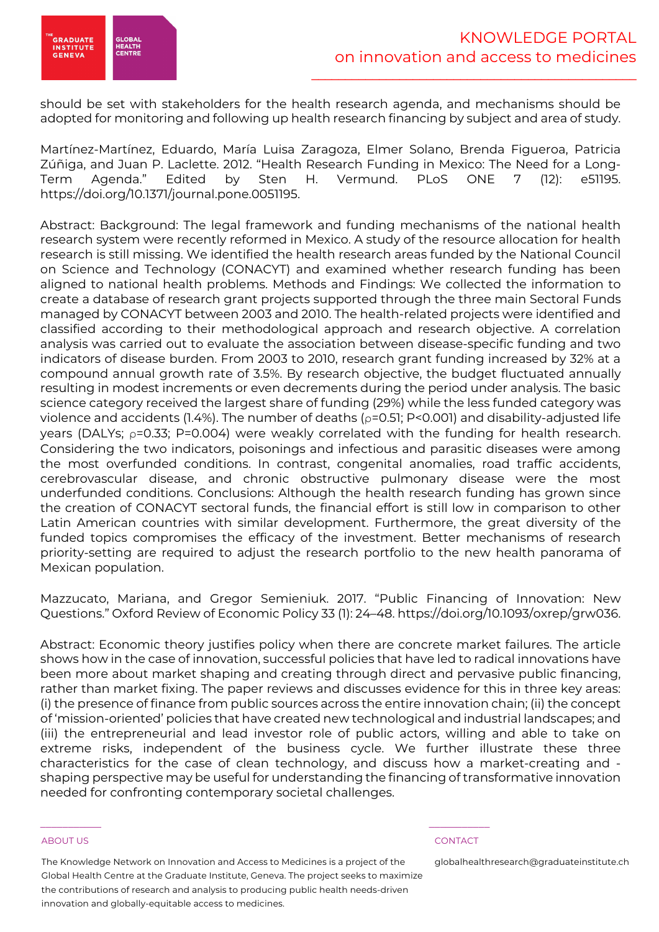

should be set with stakeholders for the health research agenda, and mechanisms should be adopted for monitoring and following up health research financing by subject and area of study.

Martínez-Martínez, Eduardo, María Luisa Zaragoza, Elmer Solano, Brenda Figueroa, Patricia Zúñiga, and Juan P. Laclette. 2012. "Health Research Funding in Mexico: The Need for a Long-Term Agenda." Edited by Sten H. Vermund. PLoS ONE 7 (12): e51195. https://doi.org/10.1371/journal.pone.0051195.

Abstract: Background: The legal framework and funding mechanisms of the national health research system were recently reformed in Mexico. A study of the resource allocation for health research is still missing. We identified the health research areas funded by the National Council on Science and Technology (CONACYT) and examined whether research funding has been aligned to national health problems. Methods and Findings: We collected the information to create a database of research grant projects supported through the three main Sectoral Funds managed by CONACYT between 2003 and 2010. The health-related projects were identified and classified according to their methodological approach and research objective. A correlation analysis was carried out to evaluate the association between disease-specific funding and two indicators of disease burden. From 2003 to 2010, research grant funding increased by 32% at a compound annual growth rate of 3.5%. By research objective, the budget fluctuated annually resulting in modest increments or even decrements during the period under analysis. The basic science category received the largest share of funding (29%) while the less funded category was violence and accidents (1.4%). The number of deaths ( $\rho$ =0.51; P<0.001) and disability-adjusted life years (DALYs; ρ=0.33; P=0.004) were weakly correlated with the funding for health research. Considering the two indicators, poisonings and infectious and parasitic diseases were among the most overfunded conditions. In contrast, congenital anomalies, road traffic accidents, cerebrovascular disease, and chronic obstructive pulmonary disease were the most underfunded conditions. Conclusions: Although the health research funding has grown since the creation of CONACYT sectoral funds, the financial effort is still low in comparison to other Latin American countries with similar development. Furthermore, the great diversity of the funded topics compromises the efficacy of the investment. Better mechanisms of research priority-setting are required to adjust the research portfolio to the new health panorama of Mexican population.

Mazzucato, Mariana, and Gregor Semieniuk. 2017. "Public Financing of Innovation: New Questions." Oxford Review of Economic Policy 33 (1): 24–48. https://doi.org/10.1093/oxrep/grw036.

Abstract: Economic theory justifies policy when there are concrete market failures. The article shows how in the case of innovation, successful policies that have led to radical innovations have been more about market shaping and creating through direct and pervasive public financing, rather than market fixing. The paper reviews and discusses evidence for this in three key areas: (i) the presence of finance from public sources across the entire innovation chain; (ii) the concept of 'mission-oriented' policies that have created new technological and industrial landscapes; and (iii) the entrepreneurial and lead investor role of public actors, willing and able to take on extreme risks, independent of the business cycle. We further illustrate these three characteristics for the case of clean technology, and discuss how a market-creating and shaping perspective may be useful for understanding the financing of transformative innovation needed for confronting contemporary societal challenges.

# ABOUT US CONTACT AND RESERVE THE RELEASE OF THE RELEASE OF THE RELEASE OF THE RELEASE OF THE RELEASE OF THE RELEASE OF THE RELEASE OF THE RELEASE OF THE RELEASE OF THE RELEASE OF THE RELEASE OF THE RELEASE OF THE RELEASE O

The Knowledge Network on Innovation and Access to Medicines is a project of the Global Health Centre at the Graduate Institute, Geneva. The project seeks to maximize the contributions of research and analysis to producing public health needs-driven innovation and globally-equitable access to medicines.

 $\frac{1}{2}$  , and the set of the set of the set of the set of the set of the set of the set of the set of the set of the set of the set of the set of the set of the set of the set of the set of the set of the set of the set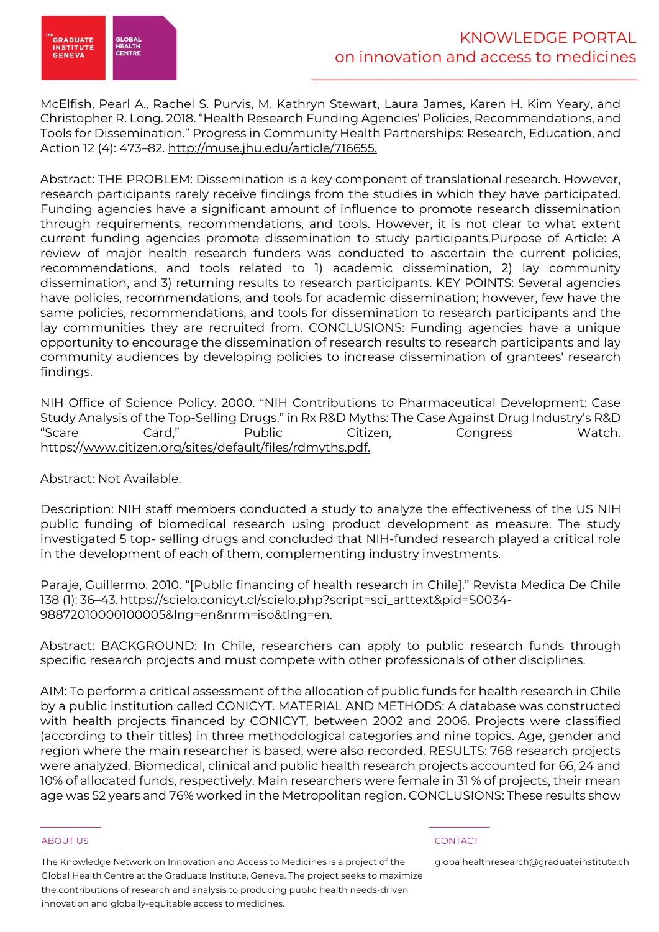

McElfish, Pearl A., Rachel S. Purvis, M. Kathryn Stewart, Laura James, Karen H. Kim Yeary, and Christopher R. Long. 2018. "Health Research Funding Agencies' Policies, Recommendations, and Tools for Dissemination." Progress in Community Health Partnerships: Research, Education, and Action 12 (4): 473–82. http://muse.jhu.edu/article/716655.

Abstract: THE PROBLEM: Dissemination is a key component of translational research. However, research participants rarely receive findings from the studies in which they have participated. Funding agencies have a significant amount of influence to promote research dissemination through requirements, recommendations, and tools. However, it is not clear to what extent current funding agencies promote dissemination to study participants.Purpose of Article: A review of major health research funders was conducted to ascertain the current policies, recommendations, and tools related to 1) academic dissemination, 2) lay community dissemination, and 3) returning results to research participants. KEY POINTS: Several agencies have policies, recommendations, and tools for academic dissemination; however, few have the same policies, recommendations, and tools for dissemination to research participants and the lay communities they are recruited from. CONCLUSIONS: Funding agencies have a unique opportunity to encourage the dissemination of research results to research participants and lay community audiences by developing policies to increase dissemination of grantees' research findings.

NIH Office of Science Policy. 2000. "NIH Contributions to Pharmaceutical Development: Case Study Analysis of the Top-Selling Drugs." in Rx R&D Myths: The Case Against Drug Industry's R&D "Scare Card," Public Citizen, Congress Watch. https://www.citizen.org/sites/default/files/rdmyths.pdf.

Abstract: Not Available.

Description: NIH staff members conducted a study to analyze the effectiveness of the US NIH public funding of biomedical research using product development as measure. The study investigated 5 top- selling drugs and concluded that NIH-funded research played a critical role in the development of each of them, complementing industry investments.

Paraje, Guillermo. 2010. "[Public financing of health research in Chile]." Revista Medica De Chile 138 (1): 36–43.https://scielo.conicyt.cl/scielo.php?script=sci\_arttext&pid=S0034- 98872010000100005&lng=en&nrm=iso&tlng=en.

Abstract: BACKGROUND: In Chile, researchers can apply to public research funds through specific research projects and must compete with other professionals of other disciplines.

AIM: To perform a critical assessment of the allocation of public funds for health research in Chile by a public institution called CONICYT. MATERIAL AND METHODS: A database was constructed with health projects financed by CONICYT, between 2002 and 2006. Projects were classified (according to their titles) in three methodological categories and nine topics. Age, gender and region where the main researcher is based, were also recorded. RESULTS: 768 research projects were analyzed. Biomedical, clinical and public health research projects accounted for 66, 24 and 10% of allocated funds, respectively. Main researchers were female in 31 % of projects, their mean age was 52 years and 76% worked in the Metropolitan region. CONCLUSIONS: These results show

# ABOUT US CONTACT AND RESERVE THE RELEASE OF THE RELEASE OF THE RELEASE OF THE RELEASE OF THE RELEASE OF THE RELEASE OF THE RELEASE OF THE RELEASE OF THE RELEASE OF THE RELEASE OF THE RELEASE OF THE RELEASE OF THE RELEASE O

The Knowledge Network on Innovation and Access to Medicines is a project of the Global Health Centre at the Graduate Institute, Geneva. The project seeks to maximize the contributions of research and analysis to producing public health needs-driven innovation and globally-equitable access to medicines.

 $\frac{1}{2}$  , and the set of the set of the set of the set of the set of the set of the set of the set of the set of the set of the set of the set of the set of the set of the set of the set of the set of the set of the set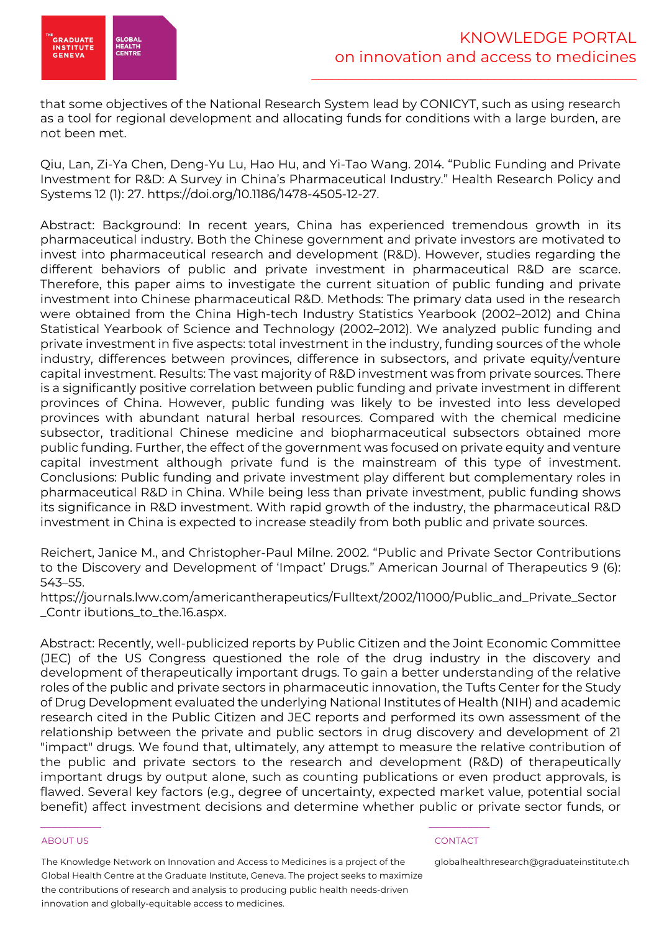

that some objectives of the National Research System lead by CONICYT, such as using research as a tool for regional development and allocating funds for conditions with a large burden, are not been met.

Qiu, Lan, Zi-Ya Chen, Deng-Yu Lu, Hao Hu, and Yi-Tao Wang. 2014. "Public Funding and Private Investment for R&D: A Survey in China's Pharmaceutical Industry." Health Research Policy and Systems 12 (1): 27. https://doi.org/10.1186/1478-4505-12-27.

Abstract: Background: In recent years, China has experienced tremendous growth in its pharmaceutical industry. Both the Chinese government and private investors are motivated to invest into pharmaceutical research and development (R&D). However, studies regarding the different behaviors of public and private investment in pharmaceutical R&D are scarce. Therefore, this paper aims to investigate the current situation of public funding and private investment into Chinese pharmaceutical R&D. Methods: The primary data used in the research were obtained from the China High-tech Industry Statistics Yearbook (2002–2012) and China Statistical Yearbook of Science and Technology (2002–2012). We analyzed public funding and private investment in five aspects: total investment in the industry, funding sources of the whole industry, differences between provinces, difference in subsectors, and private equity/venture capital investment. Results: The vast majority of R&D investment was from private sources. There is a significantly positive correlation between public funding and private investment in different provinces of China. However, public funding was likely to be invested into less developed provinces with abundant natural herbal resources. Compared with the chemical medicine subsector, traditional Chinese medicine and biopharmaceutical subsectors obtained more public funding. Further, the effect of the government was focused on private equity and venture capital investment although private fund is the mainstream of this type of investment. Conclusions: Public funding and private investment play different but complementary roles in pharmaceutical R&D in China. While being less than private investment, public funding shows its significance in R&D investment. With rapid growth of the industry, the pharmaceutical R&D investment in China is expected to increase steadily from both public and private sources.

Reichert, Janice M., and Christopher-Paul Milne. 2002. "Public and Private Sector Contributions to the Discovery and Development of 'Impact' Drugs." American Journal of Therapeutics 9 (6): 543–55.

https://journals.lww.com/americantherapeutics/Fulltext/2002/11000/Public\_and\_Private\_Sector \_Contr ibutions\_to\_the.16.aspx.

Abstract: Recently, well-publicized reports by Public Citizen and the Joint Economic Committee (JEC) of the US Congress questioned the role of the drug industry in the discovery and development of therapeutically important drugs. To gain a better understanding of the relative roles of the public and private sectors in pharmaceutic innovation, the Tufts Center for the Study of Drug Development evaluated the underlying National Institutes of Health (NIH) and academic research cited in the Public Citizen and JEC reports and performed its own assessment of the relationship between the private and public sectors in drug discovery and development of 21 "impact" drugs. We found that, ultimately, any attempt to measure the relative contribution of the public and private sectors to the research and development (R&D) of therapeutically important drugs by output alone, such as counting publications or even product approvals, is flawed. Several key factors (e.g., degree of uncertainty, expected market value, potential social benefit) affect investment decisions and determine whether public or private sector funds, or

### ABOUT US CONTACT AND RESERVE THE RELEASE OF THE RELEASE OF THE RELEASE OF THE RELEASE OF THE RELEASE OF THE RELEASE OF THE RELEASE OF THE RELEASE OF THE RELEASE OF THE RELEASE OF THE RELEASE OF THE RELEASE OF THE RELEASE O

The Knowledge Network on Innovation and Access to Medicines is a project of the Global Health Centre at the Graduate Institute, Geneva. The project seeks to maximize the contributions of research and analysis to producing public health needs-driven innovation and globally-equitable access to medicines.

 $\frac{1}{2}$  , and the set of the set of the set of the set of the set of the set of the set of the set of the set of the set of the set of the set of the set of the set of the set of the set of the set of the set of the set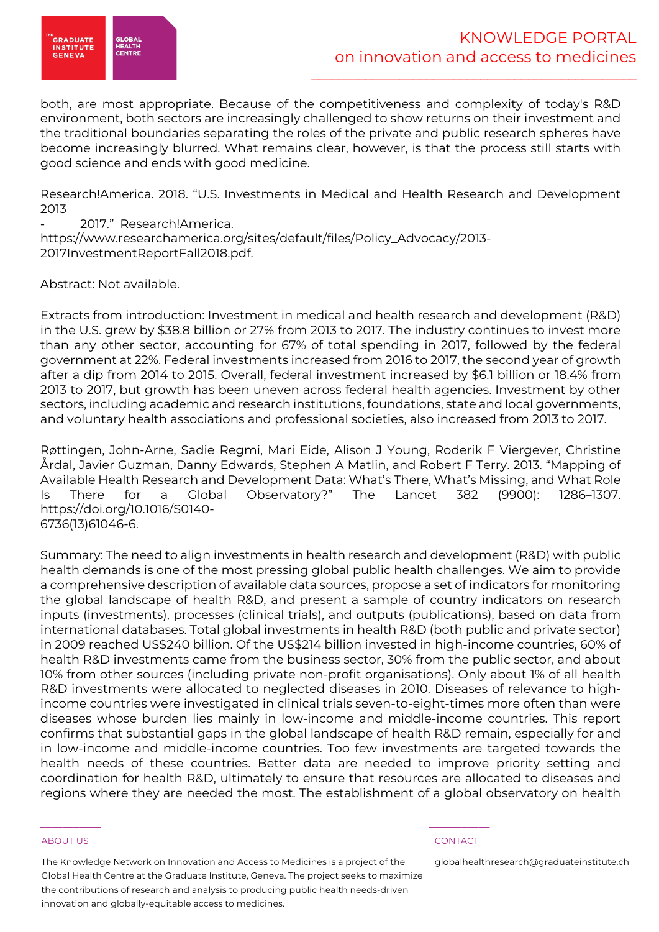

both, are most appropriate. Because of the competitiveness and complexity of today's R&D environment, both sectors are increasingly challenged to show returns on their investment and the traditional boundaries separating the roles of the private and public research spheres have become increasingly blurred. What remains clear, however, is that the process still starts with good science and ends with good medicine.

Research!America. 2018. "U.S. Investments in Medical and Health Research and Development 2013

2017." Research!America.

https://www.researchamerica.org/sites/default/files/Policy\_Advocacy/2013- 2017InvestmentReportFall2018.pdf.

Abstract: Not available.

Extracts from introduction: Investment in medical and health research and development (R&D) in the U.S. grew by \$38.8 billion or 27% from 2013 to 2017. The industry continues to invest more than any other sector, accounting for 67% of total spending in 2017, followed by the federal government at 22%. Federal investments increased from 2016 to 2017, the second year of growth after a dip from 2014 to 2015. Overall, federal investment increased by \$6.1 billion or 18.4% from 2013 to 2017, but growth has been uneven across federal health agencies. Investment by other sectors, including academic and research institutions, foundations, state and local governments, and voluntary health associations and professional societies, also increased from 2013 to 2017.

Røttingen, John-Arne, Sadie Regmi, Mari Eide, Alison J Young, Roderik F Viergever, Christine Årdal, Javier Guzman, Danny Edwards, Stephen A Matlin, and Robert F Terry. 2013. "Mapping of Available Health Research and Development Data: What's There, What's Missing, and What Role Is There for a Global Observatory?" The Lancet 382 (9900): 1286–1307. https://doi.org/10.1016/S0140- 6736(13)61046-6.

Summary: The need to align investments in health research and development (R&D) with public health demands is one of the most pressing global public health challenges. We aim to provide a comprehensive description of available data sources, propose a set of indicators for monitoring the global landscape of health R&D, and present a sample of country indicators on research inputs (investments), processes (clinical trials), and outputs (publications), based on data from international databases. Total global investments in health R&D (both public and private sector) in 2009 reached US\$240 billion. Of the US\$214 billion invested in high-income countries, 60% of health R&D investments came from the business sector, 30% from the public sector, and about 10% from other sources (including private non-profit organisations). Only about 1% of all health R&D investments were allocated to neglected diseases in 2010. Diseases of relevance to highincome countries were investigated in clinical trials seven-to-eight-times more often than were diseases whose burden lies mainly in low-income and middle-income countries. This report confirms that substantial gaps in the global landscape of health R&D remain, especially for and in low-income and middle-income countries. Too few investments are targeted towards the health needs of these countries. Better data are needed to improve priority setting and coordination for health R&D, ultimately to ensure that resources are allocated to diseases and regions where they are needed the most. The establishment of a global observatory on health

# ABOUT US CONTACT AND RESERVE THE RELEASE OF THE RELEASE OF THE RELEASE OF THE RELEASE OF THE RELEASE OF THE RELEASE OF THE RELEASE OF THE RELEASE OF THE RELEASE OF THE RELEASE OF THE RELEASE OF THE RELEASE OF THE RELEASE O

The Knowledge Network on Innovation and Access to Medicines is a project of the Global Health Centre at the Graduate Institute, Geneva. The project seeks to maximize the contributions of research and analysis to producing public health needs-driven innovation and globally-equitable access to medicines.

 $\frac{1}{2}$  , and the set of the set of the set of the set of the set of the set of the set of the set of the set of the set of the set of the set of the set of the set of the set of the set of the set of the set of the set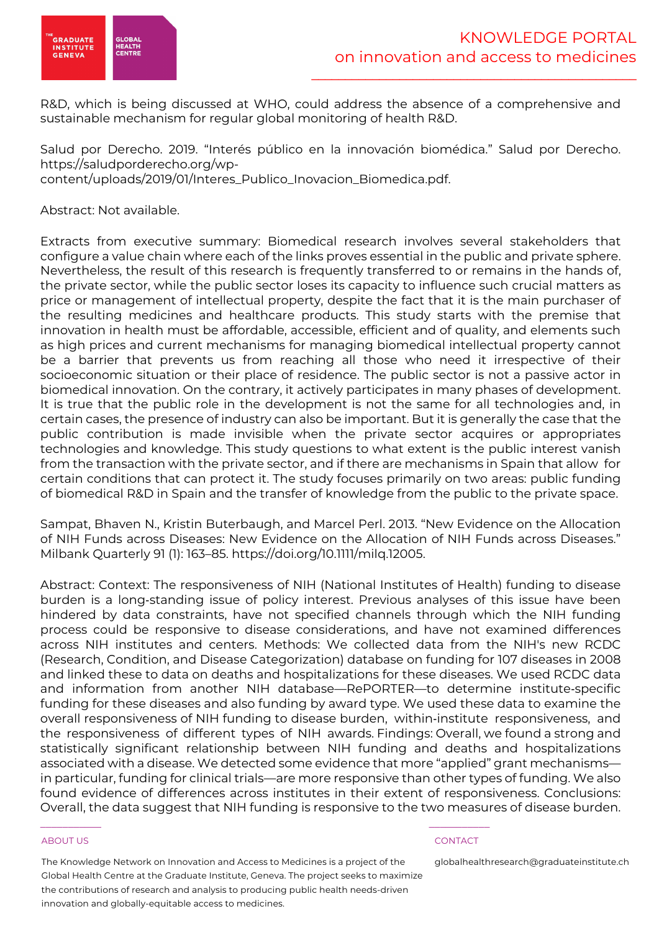

R&D, which is being discussed at WHO, could address the absence of a comprehensive and sustainable mechanism for regular global monitoring of health R&D.

Salud por Derecho. 2019. "Interés público en la innovación biomédica." Salud por Derecho. https://saludporderecho.org/wpcontent/uploads/2019/01/Interes\_Publico\_Inovacion\_Biomedica.pdf.

Abstract: Not available.

Extracts from executive summary: Biomedical research involves several stakeholders that configure a value chain where each of the links proves essential in the public and private sphere. Nevertheless, the result of this research is frequently transferred to or remains in the hands of, the private sector, while the public sector loses its capacity to influence such crucial matters as price or management of intellectual property, despite the fact that it is the main purchaser of the resulting medicines and healthcare products. This study starts with the premise that innovation in health must be affordable, accessible, efficient and of quality, and elements such as high prices and current mechanisms for managing biomedical intellectual property cannot be a barrier that prevents us from reaching all those who need it irrespective of their socioeconomic situation or their place of residence. The public sector is not a passive actor in biomedical innovation. On the contrary, it actively participates in many phases of development. It is true that the public role in the development is not the same for all technologies and, in certain cases, the presence of industry can also be important. But it is generally the case that the public contribution is made invisible when the private sector acquires or appropriates technologies and knowledge. This study questions to what extent is the public interest vanish from the transaction with the private sector, and if there are mechanisms in Spain that allow for certain conditions that can protect it. The study focuses primarily on two areas: public funding of biomedical R&D in Spain and the transfer of knowledge from the public to the private space.

Sampat, Bhaven N., Kristin Buterbaugh, and Marcel Perl. 2013. "New Evidence on the Allocation of NIH Funds across Diseases: New Evidence on the Allocation of NIH Funds across Diseases." Milbank Quarterly 91 (1): 163–85. https://doi.org/10.1111/milq.12005.

Abstract: Context: The responsiveness of NIH (National Institutes of Health) funding to disease burden is a long-standing issue of policy interest. Previous analyses of this issue have been hindered by data constraints, have not specified channels through which the NIH funding process could be responsive to disease considerations, and have not examined differences across NIH institutes and centers. Methods: We collected data from the NIH's new RCDC (Research, Condition, and Disease Categorization) database on funding for 107 diseases in 2008 and linked these to data on deaths and hospitalizations for these diseases. We used RCDC data and information from another NIH database—RePORTER—to determine institute-specific funding for these diseases and also funding by award type. We used these data to examine the overall responsiveness of NIH funding to disease burden, within-institute responsiveness, and the responsiveness of different types of NIH awards. Findings: Overall, we found a strong and statistically significant relationship between NIH funding and deaths and hospitalizations associated with a disease. We detected some evidence that more "applied" grant mechanisms in particular, funding for clinical trials—are more responsive than other types of funding. We also found evidence of differences across institutes in their extent of responsiveness. Conclusions: Overall, the data suggest that NIH funding is responsive to the two measures of disease burden.

# ABOUT US CONTACT AND RESERVE THE RELEASE OF THE RELEASE OF THE RELEASE OF THE RELEASE OF THE RELEASE OF THE RELEASE OF THE RELEASE OF THE RELEASE OF THE RELEASE OF THE RELEASE OF THE RELEASE OF THE RELEASE OF THE RELEASE O

The Knowledge Network on Innovation and Access to Medicines is a project of the Global Health Centre at the Graduate Institute, Geneva. The project seeks to maximize the contributions of research and analysis to producing public health needs-driven innovation and globally-equitable access to medicines.

 $\frac{1}{2}$  , and the set of the set of the set of the set of the set of the set of the set of the set of the set of the set of the set of the set of the set of the set of the set of the set of the set of the set of the set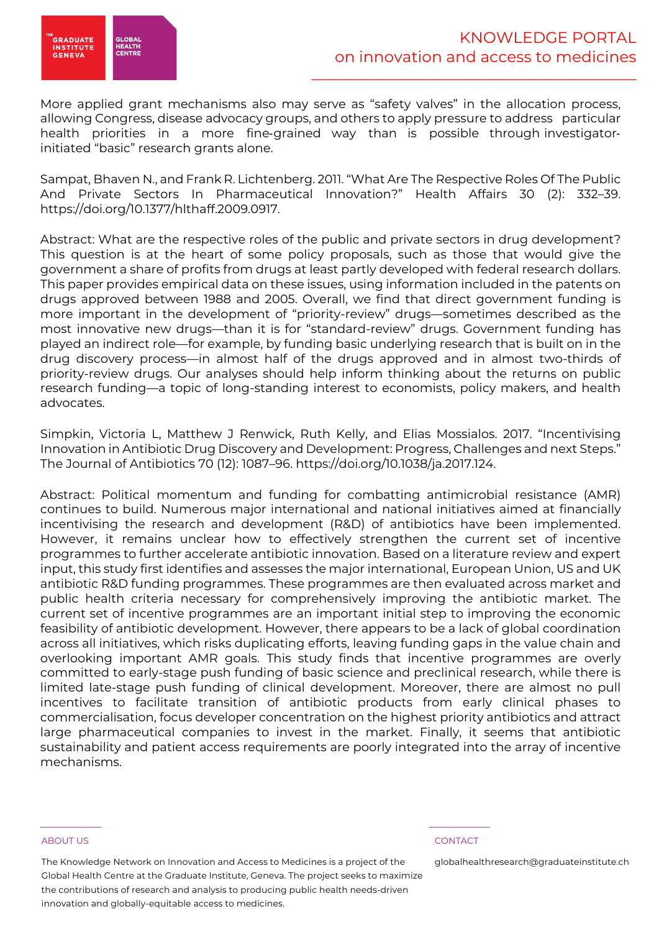

More applied grant mechanisms also may serve as "safety valves" in the allocation process, allowing Congress, disease advocacy groups, and others to apply pressure to address particular health priorities in a more fine-grained way than is possible through investigatorinitiated "basic" research grants alone.

Sampat, Bhaven N., and Frank R. Lichtenberg. 2011. "What Are The Respective Roles Of The Public And Private Sectors In Pharmaceutical Innovation?" Health Affairs 30 (2): 332–39. https://doi.org/10.1377/hlthaff.2009.0917.

Abstract: What are the respective roles of the public and private sectors in drug development? This question is at the heart of some policy proposals, such as those that would give the government a share of profits from drugs at least partly developed with federal research dollars. This paper provides empirical data on these issues, using information included in the patents on drugs approved between 1988 and 2005. Overall, we find that direct government funding is more important in the development of "priority-review" drugs—sometimes described as the most innovative new drugs—than it is for "standard-review" drugs. Government funding has played an indirect role—for example, by funding basic underlying research that is built on in the drug discovery process—in almost half of the drugs approved and in almost two-thirds of priority-review drugs. Our analyses should help inform thinking about the returns on public research funding—a topic of long-standing interest to economists, policy makers, and health advocates.

Simpkin, Victoria L, Matthew J Renwick, Ruth Kelly, and Elias Mossialos. 2017. "Incentivising Innovation in Antibiotic Drug Discovery and Development: Progress, Challenges and next Steps." The Journal of Antibiotics 70 (12): 1087–96. https://doi.org/10.1038/ja.2017.124.

Abstract: Political momentum and funding for combatting antimicrobial resistance (AMR) continues to build. Numerous major international and national initiatives aimed at financially incentivising the research and development (R&D) of antibiotics have been implemented. However, it remains unclear how to effectively strengthen the current set of incentive programmes to further accelerate antibiotic innovation. Based on a literature review and expert input, this study first identifies and assesses the major international, European Union, US and UK antibiotic R&D funding programmes. These programmes are then evaluated across market and public health criteria necessary for comprehensively improving the antibiotic market. The current set of incentive programmes are an important initial step to improving the economic feasibility of antibiotic development. However, there appears to be a lack of global coordination across all initiatives, which risks duplicating efforts, leaving funding gaps in the value chain and overlooking important AMR goals. This study finds that incentive programmes are overly committed to early-stage push funding of basic science and preclinical research, while there is limited late-stage push funding of clinical development. Moreover, there are almost no pull incentives to facilitate transition of antibiotic products from early clinical phases to commercialisation, focus developer concentration on the highest priority antibiotics and attract large pharmaceutical companies to invest in the market. Finally, it seems that antibiotic sustainability and patient access requirements are poorly integrated into the array of incentive mechanisms.

# ABOUT US CONTACT AND RESERVE THE RELEASE OF THE RELEASE OF THE RELEASE OF THE RELEASE OF THE RELEASE OF THE RELEASE OF THE RELEASE OF THE RELEASE OF THE RELEASE OF THE RELEASE OF THE RELEASE OF THE RELEASE OF THE RELEASE O

The Knowledge Network on Innovation and Access to Medicines is a project of the Global Health Centre at the Graduate Institute, Geneva. The project seeks to maximize the contributions of research and analysis to producing public health needs-driven innovation and globally-equitable access to medicines.

 $\frac{1}{2}$  , and the set of the set of the set of the set of the set of the set of the set of the set of the set of the set of the set of the set of the set of the set of the set of the set of the set of the set of the set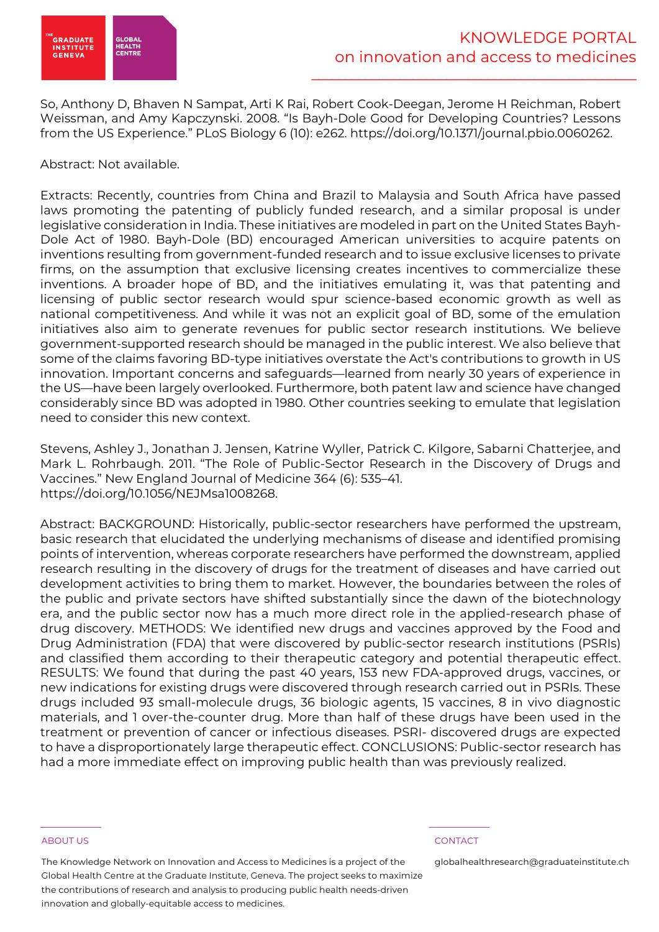

So, Anthony D, Bhaven N Sampat, Arti K Rai, Robert Cook-Deegan, Jerome H Reichman, Robert Weissman, and Amy Kapczynski. 2008. "Is Bayh-Dole Good for Developing Countries? Lessons from the US Experience." PLoS Biology 6 (10): e262. https://doi.org/10.1371/journal.pbio.0060262.

Abstract: Not available.

Extracts: Recently, countries from China and Brazil to Malaysia and South Africa have passed laws promoting the patenting of publicly funded research, and a similar proposal is under legislative consideration in India. These initiatives are modeled in part on the United States Bayh-Dole Act of 1980. Bayh-Dole (BD) encouraged American universities to acquire patents on inventions resulting from government-funded research and to issue exclusive licenses to private firms, on the assumption that exclusive licensing creates incentives to commercialize these inventions. A broader hope of BD, and the initiatives emulating it, was that patenting and licensing of public sector research would spur science-based economic growth as well as national competitiveness. And while it was not an explicit goal of BD, some of the emulation initiatives also aim to generate revenues for public sector research institutions. We believe government-supported research should be managed in the public interest. We also believe that some of the claims favoring BD-type initiatives overstate the Act's contributions to growth in US innovation. Important concerns and safeguards—learned from nearly 30 years of experience in the US—have been largely overlooked. Furthermore, both patent law and science have changed considerably since BD was adopted in 1980. Other countries seeking to emulate that legislation need to consider this new context.

Stevens, Ashley J., Jonathan J. Jensen, Katrine Wyller, Patrick C. Kilgore, Sabarni Chatterjee, and Mark L. Rohrbaugh. 2011. "The Role of Public-Sector Research in the Discovery of Drugs and Vaccines." New England Journal of Medicine 364 (6): 535–41. https://doi.org/10.1056/NEJMsa1008268.

Abstract: BACKGROUND: Historically, public-sector researchers have performed the upstream, basic research that elucidated the underlying mechanisms of disease and identified promising points of intervention, whereas corporate researchers have performed the downstream, applied research resulting in the discovery of drugs for the treatment of diseases and have carried out development activities to bring them to market. However, the boundaries between the roles of the public and private sectors have shifted substantially since the dawn of the biotechnology era, and the public sector now has a much more direct role in the applied-research phase of drug discovery. METHODS: We identified new drugs and vaccines approved by the Food and Drug Administration (FDA) that were discovered by public-sector research institutions (PSRIs) and classified them according to their therapeutic category and potential therapeutic effect. RESULTS: We found that during the past 40 years, 153 new FDA-approved drugs, vaccines, or new indications for existing drugs were discovered through research carried out in PSRIs. These drugs included 93 small-molecule drugs, 36 biologic agents, 15 vaccines, 8 in vivo diagnostic materials, and 1 over-the-counter drug. More than half of these drugs have been used in the treatment or prevention of cancer or infectious diseases. PSRI- discovered drugs are expected to have a disproportionately large therapeutic effect. CONCLUSIONS: Public-sector research has had a more immediate effect on improving public health than was previously realized.

# ABOUT US CONTACT AND RESERVE THE RELEASE OF THE RELEASE OF THE RELEASE OF THE RELEASE OF THE RELEASE OF THE RELEASE OF THE RELEASE OF THE RELEASE OF THE RELEASE OF THE RELEASE OF THE RELEASE OF THE RELEASE OF THE RELEASE O

The Knowledge Network on Innovation and Access to Medicines is a project of the Global Health Centre at the Graduate Institute, Geneva. The project seeks to maximize the contributions of research and analysis to producing public health needs-driven innovation and globally-equitable access to medicines.

 $\frac{1}{2}$  , and the set of the set of the set of the set of the set of the set of the set of the set of the set of the set of the set of the set of the set of the set of the set of the set of the set of the set of the set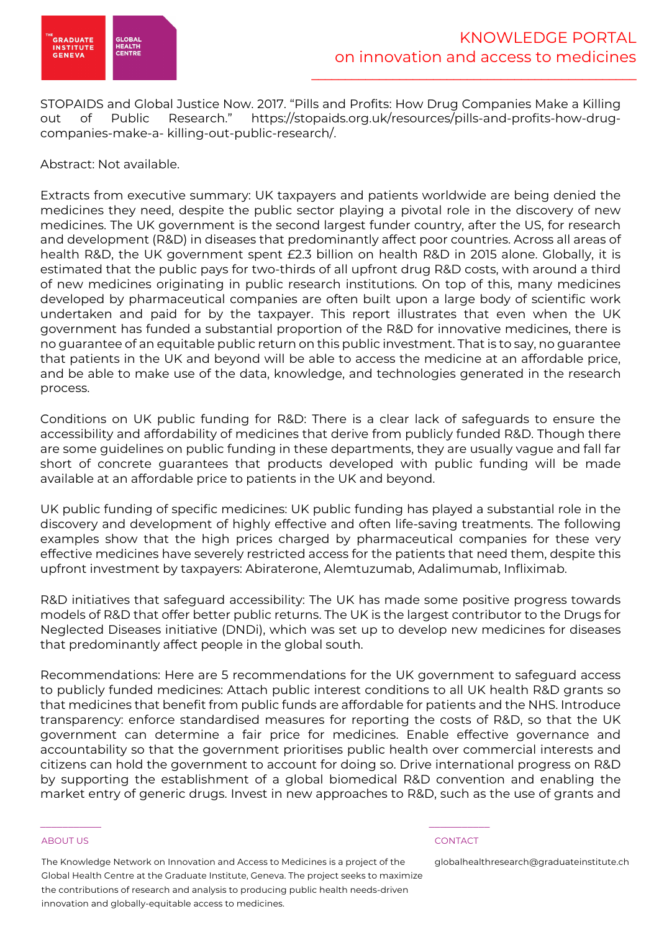

STOPAIDS and Global Justice Now. 2017. "Pills and Profits: How Drug Companies Make a Killing out of Public Research." https://stopaids.org.uk/resources/pills-and-profits-how-drugcompanies-make-a- killing-out-public-research/.

Abstract: Not available.

Extracts from executive summary: UK taxpayers and patients worldwide are being denied the medicines they need, despite the public sector playing a pivotal role in the discovery of new medicines. The UK government is the second largest funder country, after the US, for research and development (R&D) in diseases that predominantly affect poor countries. Across all areas of health R&D, the UK government spent £2.3 billion on health R&D in 2015 alone. Globally, it is estimated that the public pays for two-thirds of all upfront drug R&D costs, with around a third of new medicines originating in public research institutions. On top of this, many medicines developed by pharmaceutical companies are often built upon a large body of scientific work undertaken and paid for by the taxpayer. This report illustrates that even when the UK government has funded a substantial proportion of the R&D for innovative medicines, there is no guarantee of an equitable public return on this public investment. That is to say, no guarantee that patients in the UK and beyond will be able to access the medicine at an affordable price, and be able to make use of the data, knowledge, and technologies generated in the research process.

Conditions on UK public funding for R&D: There is a clear lack of safeguards to ensure the accessibility and affordability of medicines that derive from publicly funded R&D. Though there are some guidelines on public funding in these departments, they are usually vague and fall far short of concrete guarantees that products developed with public funding will be made available at an affordable price to patients in the UK and beyond.

UK public funding of specific medicines: UK public funding has played a substantial role in the discovery and development of highly effective and often life-saving treatments. The following examples show that the high prices charged by pharmaceutical companies for these very effective medicines have severely restricted access for the patients that need them, despite this upfront investment by taxpayers: Abiraterone, Alemtuzumab, Adalimumab, Infliximab.

R&D initiatives that safeguard accessibility: The UK has made some positive progress towards models of R&D that offer better public returns. The UK is the largest contributor to the Drugs for Neglected Diseases initiative (DNDi), which was set up to develop new medicines for diseases that predominantly affect people in the global south.

Recommendations: Here are 5 recommendations for the UK government to safeguard access to publicly funded medicines: Attach public interest conditions to all UK health R&D grants so that medicines that benefit from public funds are affordable for patients and the NHS. Introduce transparency: enforce standardised measures for reporting the costs of R&D, so that the UK government can determine a fair price for medicines. Enable effective governance and accountability so that the government prioritises public health over commercial interests and citizens can hold the government to account for doing so. Drive international progress on R&D by supporting the establishment of a global biomedical R&D convention and enabling the market entry of generic drugs. Invest in new approaches to R&D, such as the use of grants and

# ABOUT US CONTACT AND RESERVE THE RELEASE OF THE RELEASE OF THE RELEASE OF THE RELEASE OF THE RELEASE OF THE RELEASE OF THE RELEASE OF THE RELEASE OF THE RELEASE OF THE RELEASE OF THE RELEASE OF THE RELEASE OF THE RELEASE O

The Knowledge Network on Innovation and Access to Medicines is a project of the Global Health Centre at the Graduate Institute, Geneva. The project seeks to maximize the contributions of research and analysis to producing public health needs-driven innovation and globally-equitable access to medicines.

 $\frac{1}{2}$  , and the set of the set of the set of the set of the set of the set of the set of the set of the set of the set of the set of the set of the set of the set of the set of the set of the set of the set of the set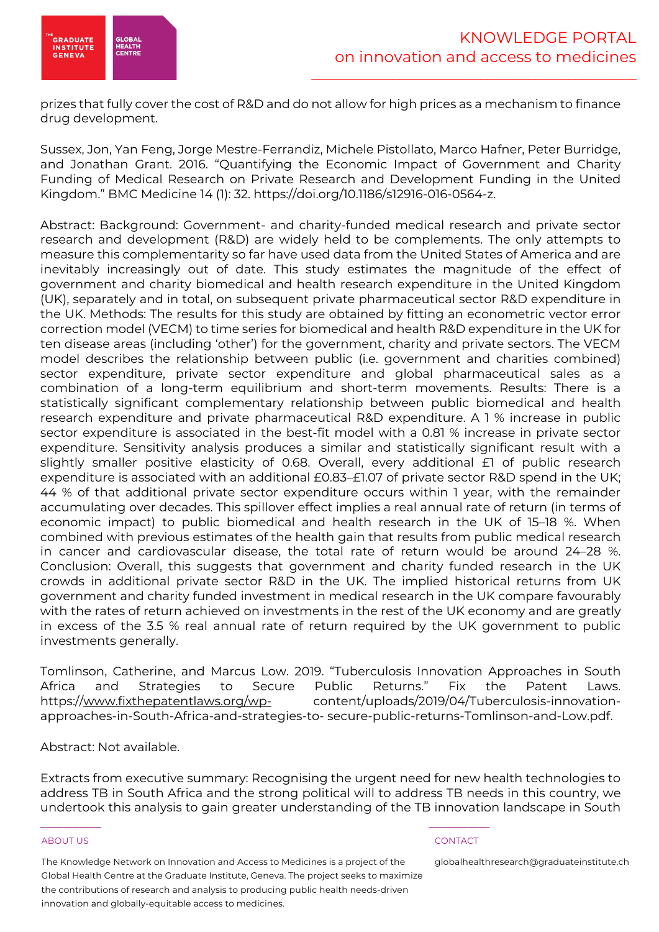

prizes that fully cover the cost of R&D and do not allow for high prices as a mechanism to finance drug development.

Sussex, Jon, Yan Feng, Jorge Mestre-Ferrandiz, Michele Pistollato, Marco Hafner, Peter Burridge, and Jonathan Grant. 2016. "Quantifying the Economic Impact of Government and Charity Funding of Medical Research on Private Research and Development Funding in the United Kingdom." BMC Medicine 14 (1): 32. https://doi.org/10.1186/s12916-016-0564-z.

Abstract: Background: Government- and charity-funded medical research and private sector research and development (R&D) are widely held to be complements. The only attempts to measure this complementarity so far have used data from the United States of America and are inevitably increasingly out of date. This study estimates the magnitude of the effect of government and charity biomedical and health research expenditure in the United Kingdom (UK), separately and in total, on subsequent private pharmaceutical sector R&D expenditure in the UK. Methods: The results for this study are obtained by fitting an econometric vector error correction model (VECM) to time series for biomedical and health R&D expenditure in the UK for ten disease areas (including 'other') for the government, charity and private sectors. The VECM model describes the relationship between public (i.e. government and charities combined) sector expenditure, private sector expenditure and global pharmaceutical sales as a combination of a long-term equilibrium and short-term movements. Results: There is a statistically significant complementary relationship between public biomedical and health research expenditure and private pharmaceutical R&D expenditure. A 1 % increase in public sector expenditure is associated in the best-fit model with a 0.81 % increase in private sector expenditure. Sensitivity analysis produces a similar and statistically significant result with a slightly smaller positive elasticity of 0.68. Overall, every additional £1 of public research expenditure is associated with an additional £0.83–£1.07 of private sector R&D spend in the UK; 44 % of that additional private sector expenditure occurs within 1 year, with the remainder accumulating over decades. This spillover effect implies a real annual rate of return (in terms of economic impact) to public biomedical and health research in the UK of 15–18 %. When combined with previous estimates of the health gain that results from public medical research in cancer and cardiovascular disease, the total rate of return would be around 24–28 %. Conclusion: Overall, this suggests that government and charity funded research in the UK crowds in additional private sector R&D in the UK. The implied historical returns from UK government and charity funded investment in medical research in the UK compare favourably with the rates of return achieved on investments in the rest of the UK economy and are greatly in excess of the 3.5 % real annual rate of return required by the UK government to public investments generally.

Tomlinson, Catherine, and Marcus Low. 2019. "Tuberculosis Innovation Approaches in South Africa and Strategies to Secure Public Returns." Fix the Patent Laws. https://www.fixthepatentlaws.org/wp- content/uploads/2019/04/Tuberculosis-innovationapproaches-in-South-Africa-and-strategies-to- secure-public-returns-Tomlinson-and-Low.pdf.

Abstract: Not available.

Extracts from executive summary: Recognising the urgent need for new health technologies to address TB in South Africa and the strong political will to address TB needs in this country, we undertook this analysis to gain greater understanding of the TB innovation landscape in South

# ABOUT US CONTACT AND RESERVE THE RELEASE OF THE RELEASE OF THE RELEASE OF THE RELEASE OF THE RELEASE OF THE RELEASE OF THE RELEASE OF THE RELEASE OF THE RELEASE OF THE RELEASE OF THE RELEASE OF THE RELEASE OF THE RELEASE O

The Knowledge Network on Innovation and Access to Medicines is a project of the Global Health Centre at the Graduate Institute, Geneva. The project seeks to maximize the contributions of research and analysis to producing public health needs-driven innovation and globally-equitable access to medicines.

 $\frac{1}{2}$  , and the set of the set of the set of the set of the set of the set of the set of the set of the set of the set of the set of the set of the set of the set of the set of the set of the set of the set of the set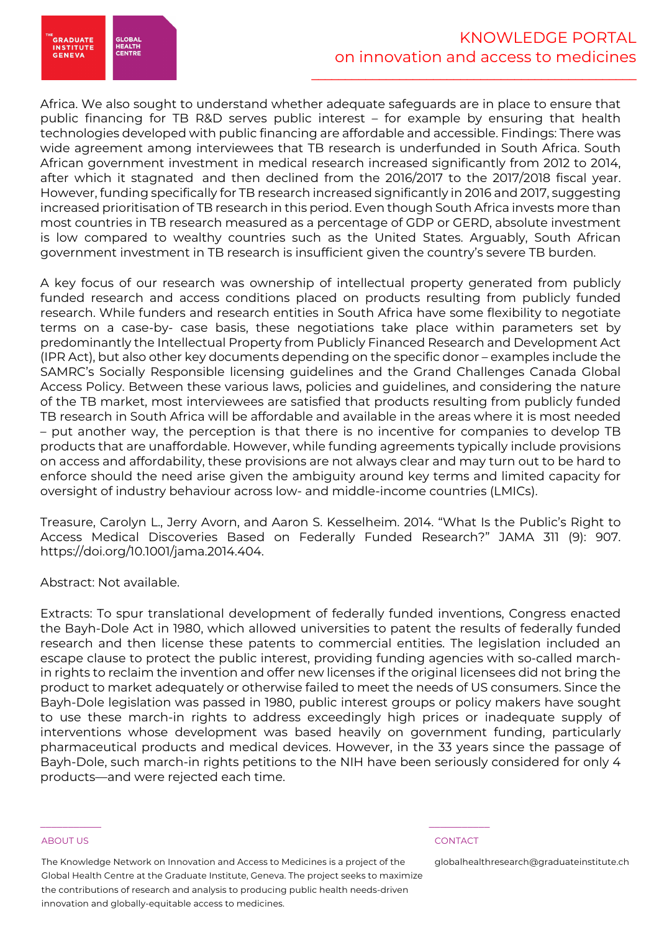.<br>GRADUATE<br>INSTITUTE **HEALTH<br>CENTR GENEVA** 

Africa. We also sought to understand whether adequate safeguards are in place to ensure that public financing for TB R&D serves public interest – for example by ensuring that health technologies developed with public financing are affordable and accessible. Findings: There was wide agreement among interviewees that TB research is underfunded in South Africa. South African government investment in medical research increased significantly from 2012 to 2014, after which it stagnated and then declined from the 2016/2017 to the 2017/2018 fiscal year. However, funding specifically for TB research increased significantly in 2016 and 2017, suggesting increased prioritisation of TB research in this period. Even though South Africa invests more than most countries in TB research measured as a percentage of GDP or GERD, absolute investment is low compared to wealthy countries such as the United States. Arguably, South African government investment in TB research is insufficient given the country's severe TB burden.

A key focus of our research was ownership of intellectual property generated from publicly funded research and access conditions placed on products resulting from publicly funded research. While funders and research entities in South Africa have some flexibility to negotiate terms on a case-by- case basis, these negotiations take place within parameters set by predominantly the Intellectual Property from Publicly Financed Research and Development Act (IPR Act), but also other key documents depending on the specific donor – examples include the SAMRC's Socially Responsible licensing guidelines and the Grand Challenges Canada Global Access Policy. Between these various laws, policies and guidelines, and considering the nature of the TB market, most interviewees are satisfied that products resulting from publicly funded TB research in South Africa will be affordable and available in the areas where it is most needed – put another way, the perception is that there is no incentive for companies to develop TB products that are unaffordable. However, while funding agreements typically include provisions on access and affordability, these provisions are not always clear and may turn out to be hard to enforce should the need arise given the ambiguity around key terms and limited capacity for oversight of industry behaviour across low- and middle-income countries (LMICs).

Treasure, Carolyn L., Jerry Avorn, and Aaron S. Kesselheim. 2014. "What Is the Public's Right to Access Medical Discoveries Based on Federally Funded Research?" JAMA 311 (9): 907. https://doi.org/10.1001/jama.2014.404.

Abstract: Not available.

Extracts: To spur translational development of federally funded inventions, Congress enacted the Bayh-Dole Act in 1980, which allowed universities to patent the results of federally funded research and then license these patents to commercial entities. The legislation included an escape clause to protect the public interest, providing funding agencies with so-called marchin rights to reclaim the invention and offer new licenses if the original licensees did not bring the product to market adequately or otherwise failed to meet the needs of US consumers. Since the Bayh-Dole legislation was passed in 1980, public interest groups or policy makers have sought to use these march-in rights to address exceedingly high prices or inadequate supply of interventions whose development was based heavily on government funding, particularly pharmaceutical products and medical devices. However, in the 33 years since the passage of Bayh-Dole, such march-in rights petitions to the NIH have been seriously considered for only 4 products—and were rejected each time.

# ABOUT US CONTACT AND RESERVE THE RELEASE OF THE RELEASE OF THE RELEASE OF THE RELEASE OF THE RELEASE OF THE RELEASE OF THE RELEASE OF THE RELEASE OF THE RELEASE OF THE RELEASE OF THE RELEASE OF THE RELEASE OF THE RELEASE O

The Knowledge Network on Innovation and Access to Medicines is a project of the Global Health Centre at the Graduate Institute, Geneva. The project seeks to maximize the contributions of research and analysis to producing public health needs-driven innovation and globally-equitable access to medicines.

 $\frac{1}{2}$  , and the set of the set of the set of the set of the set of the set of the set of the set of the set of the set of the set of the set of the set of the set of the set of the set of the set of the set of the set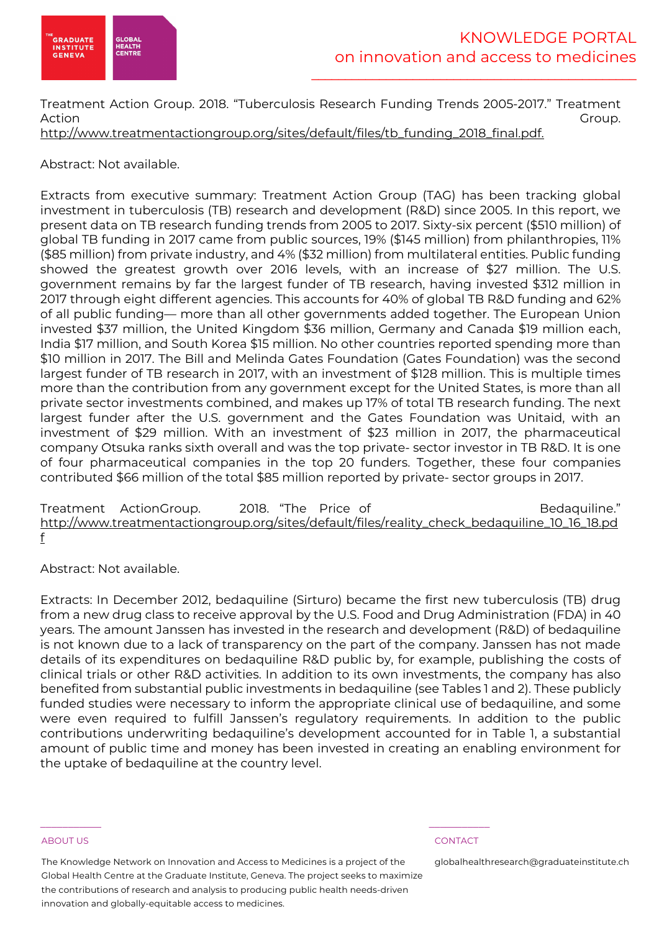

Treatment Action Group. 2018. "Tuberculosis Research Funding Trends 2005-2017." Treatment Action Group.

# http://www.treatmentactiongroup.org/sites/default/files/tb\_funding\_2018\_final.pdf.

# Abstract: Not available.

Extracts from executive summary: Treatment Action Group (TAG) has been tracking global investment in tuberculosis (TB) research and development (R&D) since 2005. In this report, we present data on TB research funding trends from 2005 to 2017. Sixty-six percent (\$510 million) of global TB funding in 2017 came from public sources, 19% (\$145 million) from philanthropies, 11% (\$85 million) from private industry, and 4% (\$32 million) from multilateral entities. Public funding showed the greatest growth over 2016 levels, with an increase of \$27 million. The U.S. government remains by far the largest funder of TB research, having invested \$312 million in 2017 through eight different agencies. This accounts for 40% of global TB R&D funding and 62% of all public funding— more than all other governments added together. The European Union invested \$37 million, the United Kingdom \$36 million, Germany and Canada \$19 million each, India \$17 million, and South Korea \$15 million. No other countries reported spending more than \$10 million in 2017. The Bill and Melinda Gates Foundation (Gates Foundation) was the second largest funder of TB research in 2017, with an investment of \$128 million. This is multiple times more than the contribution from any government except for the United States, is more than all private sector investments combined, and makes up 17% of total TB research funding. The next largest funder after the U.S. government and the Gates Foundation was Unitaid, with an investment of \$29 million. With an investment of \$23 million in 2017, the pharmaceutical company Otsuka ranks sixth overall and was the top private- sector investor in TB R&D. It is one of four pharmaceutical companies in the top 20 funders. Together, these four companies contributed \$66 million of the total \$85 million reported by private- sector groups in 2017.

Treatment ActionGroup. 2018. "The Price of The Bedaquiline." http://www.treatmentactiongroup.org/sites/default/files/reality\_check\_bedaquiline\_10\_16\_18.pd f

Abstract: Not available.

Extracts: In December 2012, bedaquiline (Sirturo) became the first new tuberculosis (TB) drug from a new drug class to receive approval by the U.S. Food and Drug Administration (FDA) in 40 years. The amount Janssen has invested in the research and development (R&D) of bedaquiline is not known due to a lack of transparency on the part of the company. Janssen has not made details of its expenditures on bedaquiline R&D public by, for example, publishing the costs of clinical trials or other R&D activities. In addition to its own investments, the company has also benefited from substantial public investments in bedaquiline (see Tables 1 and 2). These publicly funded studies were necessary to inform the appropriate clinical use of bedaquiline, and some were even required to fulfill Janssen's regulatory requirements. In addition to the public contributions underwriting bedaquiline's development accounted for in Table 1, a substantial amount of public time and money has been invested in creating an enabling environment for the uptake of bedaquiline at the country level.

### ABOUT US CONTACT AND RESERVE THE RELEASE OF THE RELEASE OF THE RELEASE OF THE RELEASE OF THE RELEASE OF THE RELEASE OF THE RELEASE OF THE RELEASE OF THE RELEASE OF THE RELEASE OF THE RELEASE OF THE RELEASE OF THE RELEASE O

The Knowledge Network on Innovation and Access to Medicines is a project of the Global Health Centre at the Graduate Institute, Geneva. The project seeks to maximize the contributions of research and analysis to producing public health needs-driven innovation and globally-equitable access to medicines.

 $\frac{1}{2}$  , and the set of the set of the set of the set of the set of the set of the set of the set of the set of the set of the set of the set of the set of the set of the set of the set of the set of the set of the set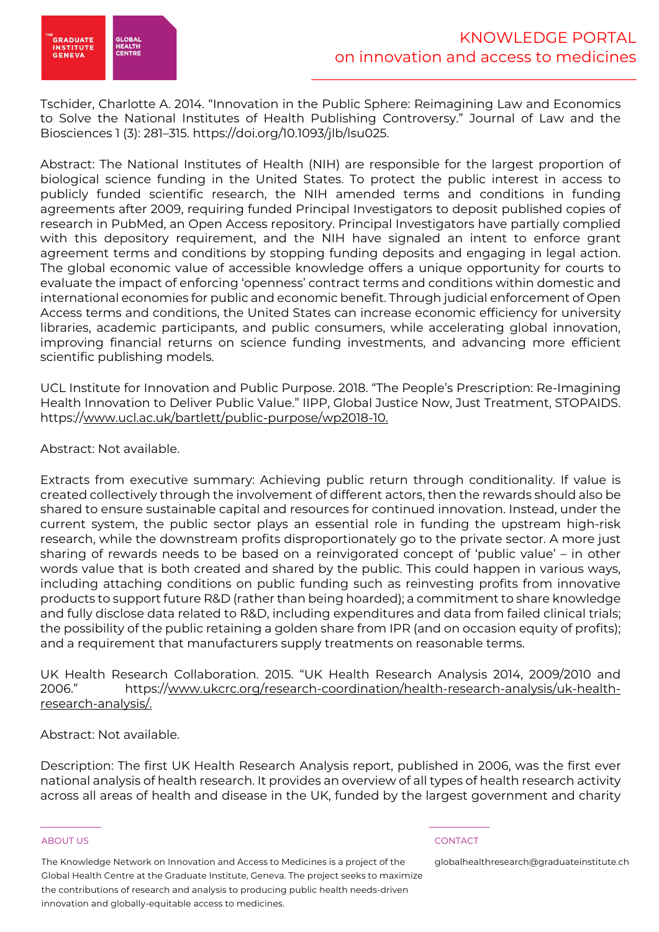

Tschider, Charlotte A. 2014. "Innovation in the Public Sphere: Reimagining Law and Economics to Solve the National Institutes of Health Publishing Controversy." Journal of Law and the Biosciences 1 (3): 281–315. https://doi.org/10.1093/jlb/lsu025.

Abstract: The National Institutes of Health (NIH) are responsible for the largest proportion of biological science funding in the United States. To protect the public interest in access to publicly funded scientific research, the NIH amended terms and conditions in funding agreements after 2009, requiring funded Principal Investigators to deposit published copies of research in PubMed, an Open Access repository. Principal Investigators have partially complied with this depository requirement, and the NIH have signaled an intent to enforce grant agreement terms and conditions by stopping funding deposits and engaging in legal action. The global economic value of accessible knowledge offers a unique opportunity for courts to evaluate the impact of enforcing 'openness' contract terms and conditions within domestic and international economies for public and economic benefit. Through judicial enforcement of Open Access terms and conditions, the United States can increase economic efficiency for university libraries, academic participants, and public consumers, while accelerating global innovation, improving financial returns on science funding investments, and advancing more efficient scientific publishing models.

UCL Institute for Innovation and Public Purpose. 2018. "The People's Prescription: Re-Imagining Health Innovation to Deliver Public Value." IIPP, Global Justice Now, Just Treatment, STOPAIDS. https://www.ucl.ac.uk/bartlett/public-purpose/wp2018-10.

Abstract: Not available.

Extracts from executive summary: Achieving public return through conditionality. If value is created collectively through the involvement of different actors, then the rewards should also be shared to ensure sustainable capital and resources for continued innovation. Instead, under the current system, the public sector plays an essential role in funding the upstream high-risk research, while the downstream profits disproportionately go to the private sector. A more just sharing of rewards needs to be based on a reinvigorated concept of 'public value' – in other words value that is both created and shared by the public. This could happen in various ways, including attaching conditions on public funding such as reinvesting profits from innovative products to support future R&D (rather than being hoarded); a commitment to share knowledge and fully disclose data related to R&D, including expenditures and data from failed clinical trials; the possibility of the public retaining a golden share from IPR (and on occasion equity of profits); and a requirement that manufacturers supply treatments on reasonable terms.

UK Health Research Collaboration. 2015. "UK Health Research Analysis 2014, 2009/2010 and 2006." https://www.ukcrc.org/research-coordination/health-research-analysis/uk-healthresearch-analysis/.

Abstract: Not available.

Description: The first UK Health Research Analysis report, published in 2006, was the first ever national analysis of health research. It provides an overview of all types of health research activity across all areas of health and disease in the UK, funded by the largest government and charity

# ABOUT US CONTACT AND RESERVE THE RELEASE OF THE RELEASE OF THE RELEASE OF THE RELEASE OF THE RELEASE OF THE RELEASE OF THE RELEASE OF THE RELEASE OF THE RELEASE OF THE RELEASE OF THE RELEASE OF THE RELEASE OF THE RELEASE O

The Knowledge Network on Innovation and Access to Medicines is a project of the Global Health Centre at the Graduate Institute, Geneva. The project seeks to maximize the contributions of research and analysis to producing public health needs-driven innovation and globally-equitable access to medicines.

 $\frac{1}{2}$  , and the set of the set of the set of the set of the set of the set of the set of the set of the set of the set of the set of the set of the set of the set of the set of the set of the set of the set of the set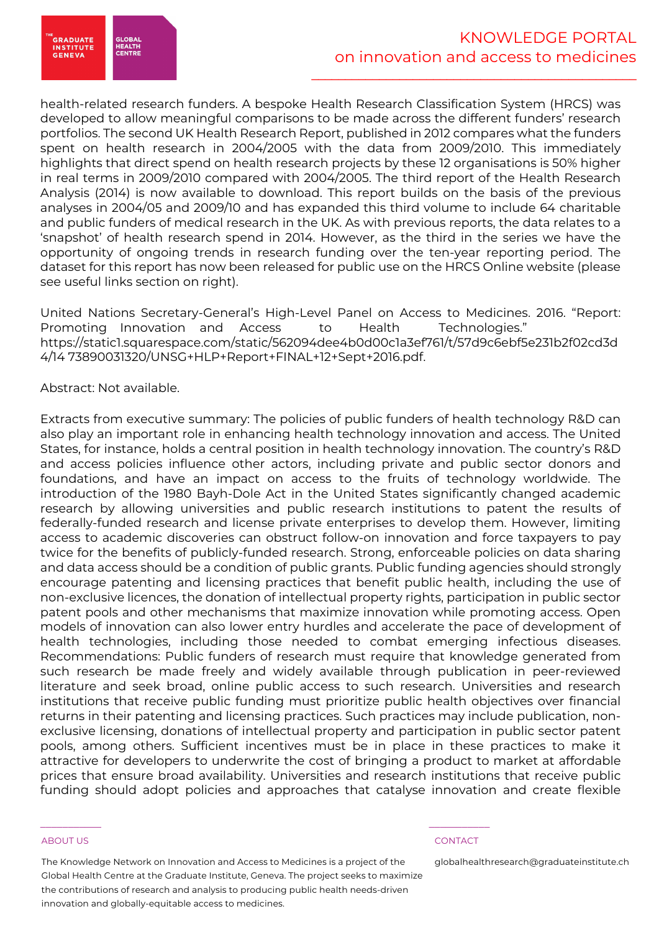

health-related research funders. A bespoke Health Research Classification System (HRCS) was developed to allow meaningful comparisons to be made across the different funders' research portfolios. The second UK Health Research Report, published in 2012 compares what the funders spent on health research in 2004/2005 with the data from 2009/2010. This immediately highlights that direct spend on health research projects by these 12 organisations is 50% higher in real terms in 2009/2010 compared with 2004/2005. The third report of the Health Research Analysis (2014) is now available to download. This report builds on the basis of the previous analyses in 2004/05 and 2009/10 and has expanded this third volume to include 64 charitable and public funders of medical research in the UK. As with previous reports, the data relates to a 'snapshot' of health research spend in 2014. However, as the third in the series we have the opportunity of ongoing trends in research funding over the ten-year reporting period. The dataset for this report has now been released for public use on the HRCS Online website (please see useful links section on right).

United Nations Secretary-General's High-Level Panel on Access to Medicines. 2016. "Report: Promoting Innovation and Access to Health Technologies." https://static1.squarespace.com/static/562094dee4b0d00c1a3ef761/t/57d9c6ebf5e231b2f02cd3d 4/14 73890031320/UNSG+HLP+Report+FINAL+12+Sept+2016.pdf.

# Abstract: Not available.

Extracts from executive summary: The policies of public funders of health technology R&D can also play an important role in enhancing health technology innovation and access. The United States, for instance, holds a central position in health technology innovation. The country's R&D and access policies influence other actors, including private and public sector donors and foundations, and have an impact on access to the fruits of technology worldwide. The introduction of the 1980 Bayh-Dole Act in the United States significantly changed academic research by allowing universities and public research institutions to patent the results of federally-funded research and license private enterprises to develop them. However, limiting access to academic discoveries can obstruct follow-on innovation and force taxpayers to pay twice for the benefits of publicly-funded research. Strong, enforceable policies on data sharing and data access should be a condition of public grants. Public funding agencies should strongly encourage patenting and licensing practices that benefit public health, including the use of non-exclusive licences, the donation of intellectual property rights, participation in public sector patent pools and other mechanisms that maximize innovation while promoting access. Open models of innovation can also lower entry hurdles and accelerate the pace of development of health technologies, including those needed to combat emerging infectious diseases. Recommendations: Public funders of research must require that knowledge generated from such research be made freely and widely available through publication in peer-reviewed literature and seek broad, online public access to such research. Universities and research institutions that receive public funding must prioritize public health objectives over financial returns in their patenting and licensing practices. Such practices may include publication, nonexclusive licensing, donations of intellectual property and participation in public sector patent pools, among others. Sufficient incentives must be in place in these practices to make it attractive for developers to underwrite the cost of bringing a product to market at affordable prices that ensure broad availability. Universities and research institutions that receive public funding should adopt policies and approaches that catalyse innovation and create flexible

### ABOUT US CONTACT AND RESERVE THE RELEASE OF THE RELEASE OF THE RELEASE OF THE RELEASE OF THE RELEASE OF THE RELEASE OF THE RELEASE OF THE RELEASE OF THE RELEASE OF THE RELEASE OF THE RELEASE OF THE RELEASE OF THE RELEASE O

The Knowledge Network on Innovation and Access to Medicines is a project of the Global Health Centre at the Graduate Institute, Geneva. The project seeks to maximize the contributions of research and analysis to producing public health needs-driven innovation and globally-equitable access to medicines.

 $\frac{1}{2}$  , and the set of the set of the set of the set of the set of the set of the set of the set of the set of the set of the set of the set of the set of the set of the set of the set of the set of the set of the set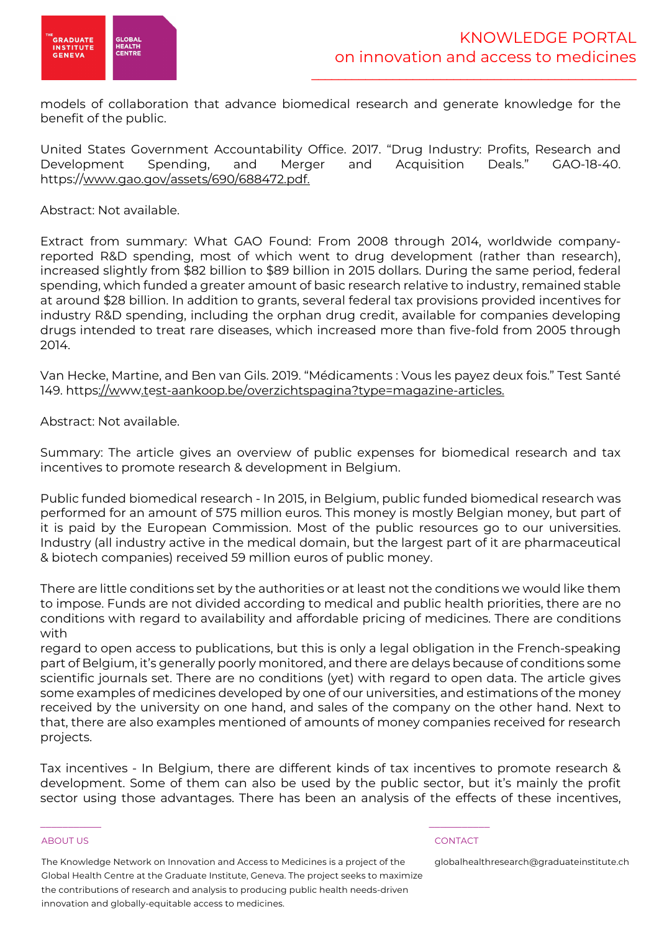

models of collaboration that advance biomedical research and generate knowledge for the benefit of the public.

United States Government Accountability Office. 2017. "Drug Industry: Profits, Research and Development Spending, and Merger and Acquisition Deals." GAO-18-40. https://www.gao.gov/assets/690/688472.pdf.

Abstract: Not available.

Extract from summary: What GAO Found: From 2008 through 2014, worldwide companyreported R&D spending, most of which went to drug development (rather than research), increased slightly from \$82 billion to \$89 billion in 2015 dollars. During the same period, federal spending, which funded a greater amount of basic research relative to industry, remained stable at around \$28 billion. In addition to grants, several federal tax provisions provided incentives for industry R&D spending, including the orphan drug credit, available for companies developing drugs intended to treat rare diseases, which increased more than five-fold from 2005 through 2014.

Van Hecke, Martine, and Ben van Gils. 2019. "Médicaments : Vous les payez deux fois." Test Santé 149. https://www.test-aankoop.be/overzichtspagina?type=magazine-articles.

Abstract: Not available.

Summary: The article gives an overview of public expenses for biomedical research and tax incentives to promote research & development in Belgium.

Public funded biomedical research - In 2015, in Belgium, public funded biomedical research was performed for an amount of 575 million euros. This money is mostly Belgian money, but part of it is paid by the European Commission. Most of the public resources go to our universities. Industry (all industry active in the medical domain, but the largest part of it are pharmaceutical & biotech companies) received 59 million euros of public money.

There are little conditions set by the authorities or at least not the conditions we would like them to impose. Funds are not divided according to medical and public health priorities, there are no conditions with regard to availability and affordable pricing of medicines. There are conditions with

regard to open access to publications, but this is only a legal obligation in the French-speaking part of Belgium, it's generally poorly monitored, and there are delays because of conditions some scientific journals set. There are no conditions (yet) with regard to open data. The article gives some examples of medicines developed by one of our universities, and estimations of the money received by the university on one hand, and sales of the company on the other hand. Next to that, there are also examples mentioned of amounts of money companies received for research projects.

Tax incentives - In Belgium, there are different kinds of tax incentives to promote research & development. Some of them can also be used by the public sector, but it's mainly the profit sector using those advantages. There has been an analysis of the effects of these incentives,

### ABOUT US CONTACT AND RESERVE THE RELEASE OF THE RELEASE OF THE RELEASE OF THE RELEASE OF THE RELEASE OF THE RELEASE OF THE RELEASE OF THE RELEASE OF THE RELEASE OF THE RELEASE OF THE RELEASE OF THE RELEASE OF THE RELEASE O

The Knowledge Network on Innovation and Access to Medicines is a project of the Global Health Centre at the Graduate Institute, Geneva. The project seeks to maximize the contributions of research and analysis to producing public health needs-driven innovation and globally-equitable access to medicines.

 $\frac{1}{2}$  , and the set of the set of the set of the set of the set of the set of the set of the set of the set of the set of the set of the set of the set of the set of the set of the set of the set of the set of the set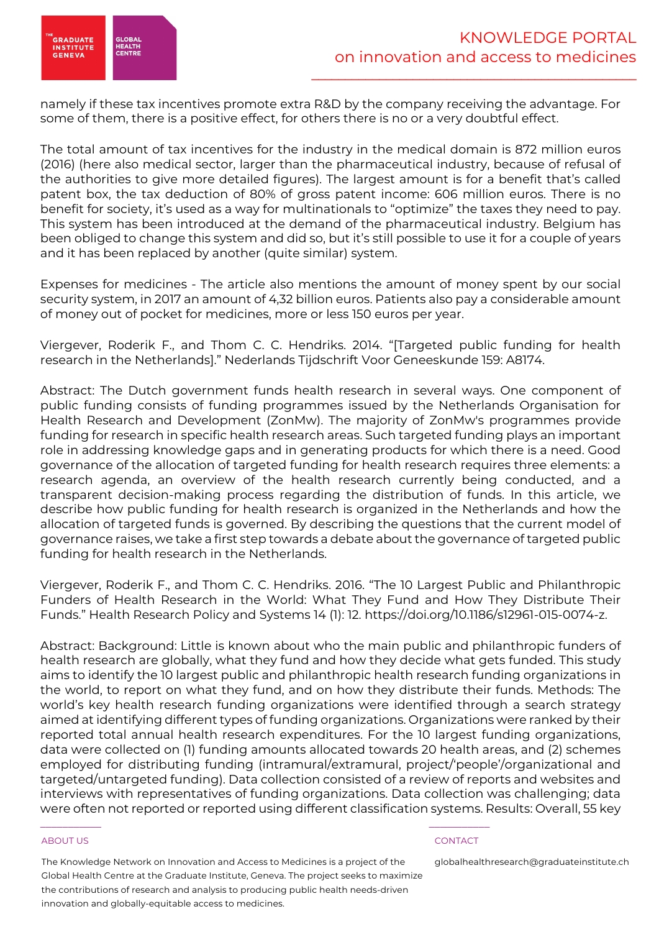

namely if these tax incentives promote extra R&D by the company receiving the advantage. For some of them, there is a positive effect, for others there is no or a very doubtful effect.

The total amount of tax incentives for the industry in the medical domain is 872 million euros (2016) (here also medical sector, larger than the pharmaceutical industry, because of refusal of the authorities to give more detailed figures). The largest amount is for a benefit that's called patent box, the tax deduction of 80% of gross patent income: 606 million euros. There is no benefit for society, it's used as a way for multinationals to "optimize" the taxes they need to pay. This system has been introduced at the demand of the pharmaceutical industry. Belgium has been obliged to change this system and did so, but it's still possible to use it for a couple of years and it has been replaced by another (quite similar) system.

Expenses for medicines - The article also mentions the amount of money spent by our social security system, in 2017 an amount of 4,32 billion euros. Patients also pay a considerable amount of money out of pocket for medicines, more or less 150 euros per year.

Viergever, Roderik F., and Thom C. C. Hendriks. 2014. "[Targeted public funding for health research in the Netherlands]." Nederlands Tijdschrift Voor Geneeskunde 159: A8174.

Abstract: The Dutch government funds health research in several ways. One component of public funding consists of funding programmes issued by the Netherlands Organisation for Health Research and Development (ZonMw). The majority of ZonMw's programmes provide funding for research in specific health research areas. Such targeted funding plays an important role in addressing knowledge gaps and in generating products for which there is a need. Good governance of the allocation of targeted funding for health research requires three elements: a research agenda, an overview of the health research currently being conducted, and a transparent decision-making process regarding the distribution of funds. In this article, we describe how public funding for health research is organized in the Netherlands and how the allocation of targeted funds is governed. By describing the questions that the current model of governance raises, we take a first step towards a debate about the governance of targeted public funding for health research in the Netherlands.

Viergever, Roderik F., and Thom C. C. Hendriks. 2016. "The 10 Largest Public and Philanthropic Funders of Health Research in the World: What They Fund and How They Distribute Their Funds." Health Research Policy and Systems 14 (1): 12. https://doi.org/10.1186/s12961-015-0074-z.

Abstract: Background: Little is known about who the main public and philanthropic funders of health research are globally, what they fund and how they decide what gets funded. This study aims to identify the 10 largest public and philanthropic health research funding organizations in the world, to report on what they fund, and on how they distribute their funds. Methods: The world's key health research funding organizations were identified through a search strategy aimed at identifying different types of funding organizations. Organizations were ranked by their reported total annual health research expenditures. For the 10 largest funding organizations, data were collected on (1) funding amounts allocated towards 20 health areas, and (2) schemes employed for distributing funding (intramural/extramural, project/'people'/organizational and targeted/untargeted funding). Data collection consisted of a review of reports and websites and interviews with representatives of funding organizations. Data collection was challenging; data were often not reported or reported using different classification systems. Results: Overall, 55 key

# ABOUT US CONTACT AND RESERVE THE RELEASE OF THE RELEASE OF THE RELEASE OF THE RELEASE OF THE RELEASE OF THE RELEASE OF THE RELEASE OF THE RELEASE OF THE RELEASE OF THE RELEASE OF THE RELEASE OF THE RELEASE OF THE RELEASE O

The Knowledge Network on Innovation and Access to Medicines is a project of the Global Health Centre at the Graduate Institute, Geneva. The project seeks to maximize the contributions of research and analysis to producing public health needs-driven innovation and globally-equitable access to medicines.

 $\frac{1}{2}$  , and the set of the set of the set of the set of the set of the set of the set of the set of the set of the set of the set of the set of the set of the set of the set of the set of the set of the set of the set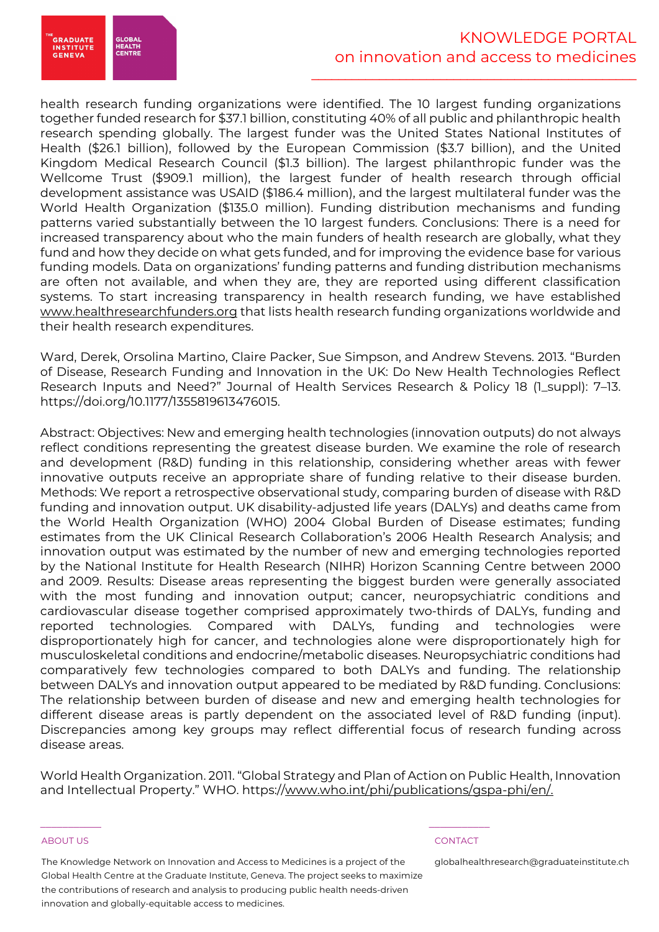

health research funding organizations were identified. The 10 largest funding organizations together funded research for \$37.1 billion, constituting 40% of all public and philanthropic health research spending globally. The largest funder was the United States National Institutes of Health (\$26.1 billion), followed by the European Commission (\$3.7 billion), and the United Kingdom Medical Research Council (\$1.3 billion). The largest philanthropic funder was the Wellcome Trust (\$909.1 million), the largest funder of health research through official development assistance was USAID (\$186.4 million), and the largest multilateral funder was the World Health Organization (\$135.0 million). Funding distribution mechanisms and funding patterns varied substantially between the 10 largest funders. Conclusions: There is a need for increased transparency about who the main funders of health research are globally, what they fund and how they decide on what gets funded, and for improving the evidence base for various funding models. Data on organizations' funding patterns and funding distribution mechanisms are often not available, and when they are, they are reported using different classification systems. To start increasing transparency in health research funding, we have established www.healthresearchfunders.org that lists health research funding organizations worldwide and their health research expenditures.

Ward, Derek, Orsolina Martino, Claire Packer, Sue Simpson, and Andrew Stevens. 2013. "Burden of Disease, Research Funding and Innovation in the UK: Do New Health Technologies Reflect Research Inputs and Need?" Journal of Health Services Research & Policy 18 (1\_suppl): 7–13. https://doi.org/10.1177/1355819613476015.

Abstract: Objectives: New and emerging health technologies (innovation outputs) do not always reflect conditions representing the greatest disease burden. We examine the role of research and development (R&D) funding in this relationship, considering whether areas with fewer innovative outputs receive an appropriate share of funding relative to their disease burden. Methods: We report a retrospective observational study, comparing burden of disease with R&D funding and innovation output. UK disability-adjusted life years (DALYs) and deaths came from the World Health Organization (WHO) 2004 Global Burden of Disease estimates; funding estimates from the UK Clinical Research Collaboration's 2006 Health Research Analysis; and innovation output was estimated by the number of new and emerging technologies reported by the National Institute for Health Research (NIHR) Horizon Scanning Centre between 2000 and 2009. Results: Disease areas representing the biggest burden were generally associated with the most funding and innovation output; cancer, neuropsychiatric conditions and cardiovascular disease together comprised approximately two-thirds of DALYs, funding and reported technologies. Compared with DALYs, funding and technologies were disproportionately high for cancer, and technologies alone were disproportionately high for musculoskeletal conditions and endocrine/metabolic diseases. Neuropsychiatric conditions had comparatively few technologies compared to both DALYs and funding. The relationship between DALYs and innovation output appeared to be mediated by R&D funding. Conclusions: The relationship between burden of disease and new and emerging health technologies for different disease areas is partly dependent on the associated level of R&D funding (input). Discrepancies among key groups may reflect differential focus of research funding across disease areas.

World Health Organization. 2011. "Global Strategy and Plan of Action on Public Health, Innovation and Intellectual Property." WHO. https://www.who.int/phi/publications/gspa-phi/en/.

### ABOUT US CONTACT AND RESERVE THE RELEASE OF THE RELEASE OF THE RELEASE OF THE RELEASE OF THE RELEASE OF THE RELEASE OF THE RELEASE OF THE RELEASE OF THE RELEASE OF THE RELEASE OF THE RELEASE OF THE RELEASE OF THE RELEASE O

The Knowledge Network on Innovation and Access to Medicines is a project of the Global Health Centre at the Graduate Institute, Geneva. The project seeks to maximize the contributions of research and analysis to producing public health needs-driven innovation and globally-equitable access to medicines.

 $\frac{1}{2}$  , and the set of the set of the set of the set of the set of the set of the set of the set of the set of the set of the set of the set of the set of the set of the set of the set of the set of the set of the set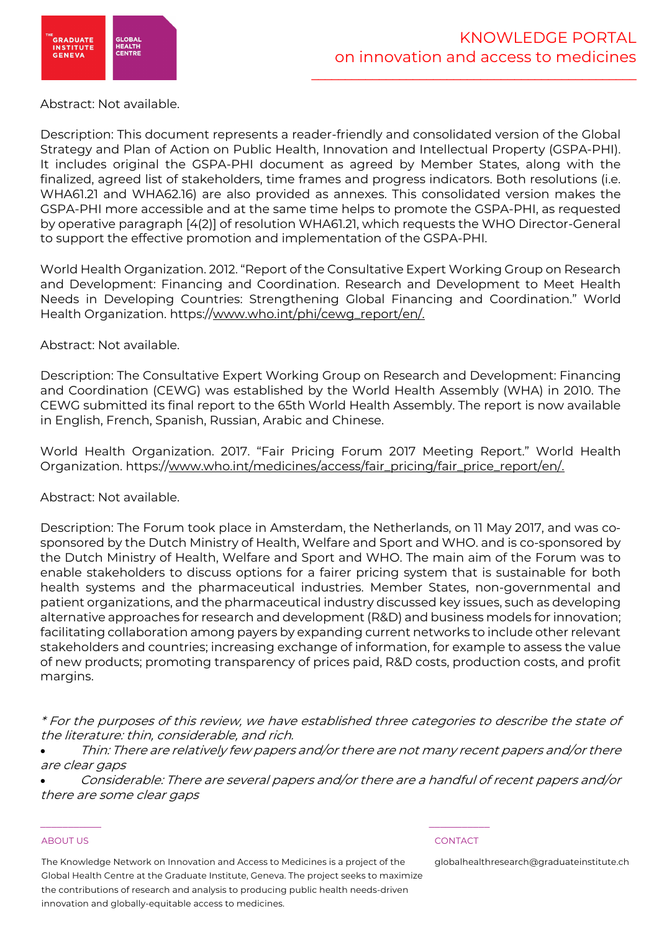

Abstract: Not available.

Description: This document represents a reader-friendly and consolidated version of the Global Strategy and Plan of Action on Public Health, Innovation and Intellectual Property (GSPA-PHI). It includes original the GSPA-PHI document as agreed by Member States, along with the finalized, agreed list of stakeholders, time frames and progress indicators. Both resolutions (i.e. WHA61.21 and WHA62.16) are also provided as annexes. This consolidated version makes the GSPA-PHI more accessible and at the same time helps to promote the GSPA-PHI, as requested by operative paragraph [4(2)] of resolution WHA61.21, which requests the WHO Director-General to support the effective promotion and implementation of the GSPA-PHI.

World Health Organization. 2012. "Report of the Consultative Expert Working Group on Research and Development: Financing and Coordination. Research and Development to Meet Health Needs in Developing Countries: Strengthening Global Financing and Coordination." World Health Organization. https://www.who.int/phi/cewg\_report/en/.

Abstract: Not available.

Description: The Consultative Expert Working Group on Research and Development: Financing and Coordination (CEWG) was established by the World Health Assembly (WHA) in 2010. The CEWG submitted its final report to the 65th World Health Assembly. The report is now available in English, French, Spanish, Russian, Arabic and Chinese.

World Health Organization. 2017. "Fair Pricing Forum 2017 Meeting Report." World Health Organization. https://www.who.int/medicines/access/fair\_pricing/fair\_price\_report/en/.

Abstract: Not available.

Description: The Forum took place in Amsterdam, the Netherlands, on 11 May 2017, and was cosponsored by the Dutch Ministry of Health, Welfare and Sport and WHO. and is co-sponsored by the Dutch Ministry of Health, Welfare and Sport and WHO. The main aim of the Forum was to enable stakeholders to discuss options for a fairer pricing system that is sustainable for both health systems and the pharmaceutical industries. Member States, non-governmental and patient organizations, and the pharmaceutical industry discussed key issues, such as developing alternative approaches for research and development (R&D) and business models for innovation; facilitating collaboration among payers by expanding current networks to include other relevant stakeholders and countries; increasing exchange of information, for example to assess the value of new products; promoting transparency of prices paid, R&D costs, production costs, and profit margins.

\* For the purposes of this review, we have established three categories to describe the state of the literature: thin, considerable, and rich.

• Thin: There are relatively few papers and/or there are not many recent papers and/or there are clear gaps

• Considerable: There are several papers and/or there are a handful of recent papers and/or there are some clear gaps

# ABOUT US CONTACT AND RESERVE THE RELEASE OF THE RELEASE OF THE RELEASE OF THE RELEASE OF THE RELEASE OF THE RELEASE OF THE RELEASE OF THE RELEASE OF THE RELEASE OF THE RELEASE OF THE RELEASE OF THE RELEASE OF THE RELEASE O

The Knowledge Network on Innovation and Access to Medicines is a project of the Global Health Centre at the Graduate Institute, Geneva. The project seeks to maximize the contributions of research and analysis to producing public health needs-driven innovation and globally-equitable access to medicines.

 $\frac{1}{2}$  , and the set of the set of the set of the set of the set of the set of the set of the set of the set of the set of the set of the set of the set of the set of the set of the set of the set of the set of the set